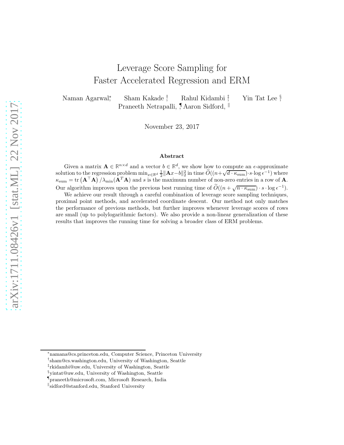# Leverage Score Sampling for Faster Accelerated Regression and ERM

Naman Agarwal<sup>∗</sup> , Sham Kakade † , Rahul Kidambi ‡ , Yin Tat Lee § , Praneeth Netrapalli, <sup>¶</sup> Aaron Sidford, <sup>||</sup>

November 23, 2017

#### Abstract

Given a matrix  $\mathbf{A} \in \mathbb{R}^{n \times d}$  and a vector  $b \in \mathbb{R}^d$ , we show how to compute an  $\epsilon$ -approximate solution to the regression problem  $\min_{x \in \mathbb{R}^d} \frac{1}{2} \|\mathbf{A}x - b\|_2^2$  in time  $\widetilde{O}((n + \sqrt{d \cdot \kappa_{\text{sum}}}) \cdot s \cdot \log \epsilon^{-1})$  where  $\kappa_{\text{sum}} = \text{tr}(\mathbf{A}^{\top}\mathbf{A})/\lambda_{\text{min}}(\mathbf{A}^T\mathbf{A})$  and s is the maximum number of non-zero entries in a row of **A**. Our algorithm improves upon the previous best running time of  $\widetilde{O}((n + \sqrt{n \cdot \kappa_{\text{sum}}}) \cdot s \cdot \log \epsilon^{-1})$ .

We achieve our result through a careful combination of leverage score sampling techniques, proximal point methods, and accelerated coordinate descent. Our method not only matches the performance of previous methods, but further improves whenever leverage scores of rows are small (up to polylogarithmic factors). We also provide a non-linear generalization of these results that improves the running time for solving a broader class of ERM problems.

<sup>∗</sup>namana@cs.princeton.edu, Computer Science, Princeton University

<sup>†</sup> sham@cs.washington.edu, University of Washington, Seattle

<sup>‡</sup> rkidambi@uw.edu, University of Washington, Seattle

<sup>§</sup> yintat@uw.edu, University of Washington, Seattle

<sup>¶</sup>praneeth@microsoft.com, Microsoft Research, India

k sidford@stanford.edu, Stanford University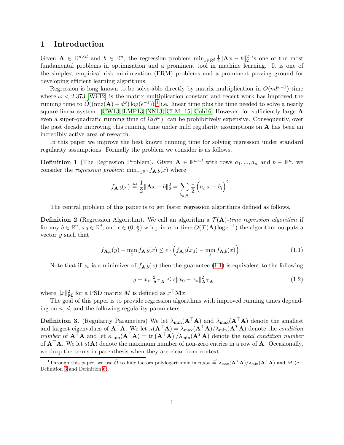## 1 Introduction

Given  $\mathbf{A} \in \mathbb{R}^{n \times d}$  and  $b \in \mathbb{R}^n$ , the regression problem  $\min_{x \in \mathbb{R}^d} \frac{1}{2}$  $\frac{1}{2}$ ||**A***x* − *b*||<sup>2</sup><sub>2</sub> is one of the most fundamental problems in optimization and a prominent tool in machine learning. It is one of the simplest empirical risk minimization (ERM) problems and a prominent proving ground for developing efficient learning algorithms.

Regression is long known to be solve-able directly by matrix multiplication in  $O(nd^{\omega-1})$  time where  $\omega < 2.373$  [\[Wil12\]](#page-21-0) is the matrix multiplication constant and recent work has improved the running time to  $\tilde{O}((\text{nnz}(\mathbf{A}) + d^{\omega}) \log(\epsilon^{-1})),$  $\tilde{O}((\text{nnz}(\mathbf{A}) + d^{\omega}) \log(\epsilon^{-1})),$  $\tilde{O}((\text{nnz}(\mathbf{A}) + d^{\omega}) \log(\epsilon^{-1})),$ <sup>1</sup> i.e. linear time plus the time needed to solve a nearly square linear system. [\[CW13,](#page-20-0) [LMP13,](#page-20-1) [NN13,](#page-21-1) [CLM](#page-20-2)+15, [Coh16\]](#page-20-3) However, for sufficiently large  $\bf{A}$ even a super-quadratic running time of  $\Omega(d^{\omega})$  can be prohibitively expensive. Consequently, over the past decade improving this running time under mild regularity assumptions on A has been an incredibly active area of research.

In this paper we improve the best known running time for solving regression under standard regularity assumptions. Formally the problem we consider is as follows.

**Definition 1** (The Regression Problem). Given  $A \in \mathbb{R}^{n \times d}$  with rows  $a_1, ..., a_n$  and  $b \in \mathbb{R}^n$ , we consider the *regression problem* min<sub> $x \in \mathbb{R}^d$   $f_{\mathbf{A},b}(x)$  where</sub>

$$
f_{\mathbf{A},b}(x) \stackrel{\text{def}}{=} \frac{1}{2} ||\mathbf{A}x - b||_2^2 = \sum_{i \in [n]} \frac{1}{2} (a_i^\top x - b_i)^2.
$$

The central problem of this paper is to get faster regression algorithms defined as follows.

**Definition 2** (Regression Algorithm). We call an algorithm a  $\mathcal{T}(\mathbf{A})$ -time regression algorithm if for any  $b \in \mathbb{R}^n$ ,  $x_0 \in \mathbb{R}^d$ , and  $\epsilon \in (0, \frac{1}{2})$  $\frac{1}{2}$ ) w.h.p in *n* in time  $O(\mathcal{T}(\mathbf{A}) \log \epsilon^{-1})$  the algorithm outputs a vector  $y$  such that

<span id="page-1-1"></span>
$$
f_{\mathbf{A},b}(y) - \min_{x} f_{\mathbf{A},b}(x) \le \epsilon \cdot \left( f_{\mathbf{A},b}(x_0) - \min_{x} f_{\mathbf{A},b}(x) \right) . \tag{1.1}
$$

Note that if  $x_*$  is a minimizer of  $f_{\mathbf{A},b}(x)$  then the guarantee [\(1.1\)](#page-1-1) is equivalent to the following

<span id="page-1-3"></span>
$$
||y - x_*||_{\mathbf{A}^\top \mathbf{A}}^2 \le \epsilon ||x_0 - x_*||_{\mathbf{A}^\top \mathbf{A}}^2
$$
\n(1.2)

where  $||x||^2_M$  for a PSD matrix M is defined as  $x^\top M x$ .

The goal of this paper is to provide regression algorithms with improved running times depending on n, d, and the following regularity parameters.

<span id="page-1-2"></span>**Definition 3.** (Regularity Parameters) We let  $\lambda_{\min}(\mathbf{A}^{\top}\mathbf{A})$  and  $\lambda_{\max}(\mathbf{A}^{\top}\mathbf{A})$  denote the smallest and largest eigenvalues of  $A^{\top}A$ . We let  $\kappa(A^{\top}A) = \lambda_{\max}(A^{\top}A)/\lambda_{\min}(A^T A)$  denote the *condition* number of  $A^{\top}A$  and let  $\kappa_{sum}(A^{\top}A) = \text{tr}(A^{\top}A)/\lambda_{min}(A^{T}A)$  denote the *total condition number* of  $A^{\top}A$ . We let  $s(A)$  denote the maximum number of non-zero entries in a row of A. Occasionally, we drop the terms in parenthesis when they are clear from context.

<span id="page-1-0"></span><sup>&</sup>lt;sup>1</sup>Through this paper, we use  $\widetilde{O}$  to hide factors polylogarithmic in  $n,d,\kappa \stackrel{\text{def}}{=} \lambda_{\max}(\mathbf{A}^{\top}\mathbf{A})/\lambda_{\min}(\mathbf{A}^{\top}\mathbf{A})$  and M (c.f. Definition [3](#page-1-2) and Definition [6\)](#page-3-0).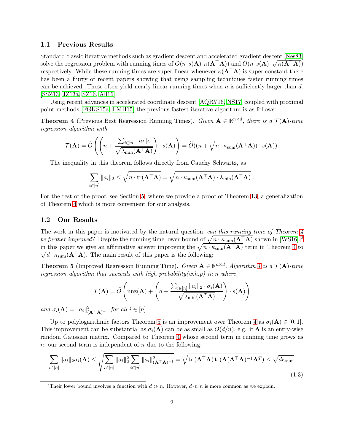### 1.1 Previous Results

Standard classic iterative methods such as gradient descent and accelerated gradient descent [\[Nes83\]](#page-21-2) solve the regression problem with running times of  $O(n \cdot s(\mathbf{A}) \cdot \kappa(\mathbf{A}^{\top} \mathbf{A}))$  and  $O(n \cdot s(\mathbf{A}) \cdot \sqrt{\kappa(\mathbf{A}^{\top} \mathbf{A})})$ respectively. While these running times are super-linear whenever  $\kappa(A^{\top}A)$  is super constant there has been a flurry of recent papers showing that using sampling techniques faster running times can be achieved. These often yield nearly linear running times when  $n$  is sufficiently larger than  $d$ . [\[SSZ13,](#page-21-3) [JZ13a,](#page-20-4) [SZ16,](#page-21-4) [All16\]](#page-19-0).

Using recent advances in accelerated coordinate descent [\[AQRY16,](#page-20-5) [NS17\]](#page-21-5) coupled with proximal point methods [\[FGKS15a,](#page-20-6) [LMH15\]](#page-20-7) the previous fastest iterative algorithm is as follows:

<span id="page-2-0"></span>**Theorem 4** (Previous Best Regression Running Times). Given  $A \in \mathbb{R}^{n \times d}$ , there is a  $\mathcal{T}(A)$ -time regression algorithm with

$$
\mathcal{T}(\mathbf{A}) = \widetilde{O}\left( \left( n + \frac{\sum_{i \in [n]} \|a_i\|_2}{\sqrt{\lambda_{\min}(\mathbf{A}^\top \mathbf{A})}} \right) \cdot s(\mathbf{A}) \right) = \widetilde{O}((n + \sqrt{n \cdot \kappa_{\text{sum}}(\mathbf{A}^\top \mathbf{A})}) \cdot s(\mathbf{A})).
$$

The inequality in this theorem follows directly from Cauchy Schwartz, as

$$
\sum_{i \in [n]} \|a_i\|_2 \leq \sqrt{n \cdot \text{tr}(\mathbf{A}^\top \mathbf{A})} = \sqrt{n \cdot \kappa_{\text{sum}}(\mathbf{A}^\top \mathbf{A}) \cdot \lambda_{\text{min}}(\mathbf{A}^\top \mathbf{A})}.
$$

For the rest of the proof, see Section [5,](#page-9-0) where we provide a proof of Theorem [13,](#page-9-1) a generalization of Theorem [4](#page-2-0) which is more convenient for our analysis.

### 1.2 Our Results

The work in this paper is motivated by the natural question, can this running time of Theorem [4](#page-2-0) be further improved? Despite the running time lower bound of  $\sqrt{n \cdot \kappa_{\text{sum}}(\mathbf{A}^{\top}\mathbf{A})}$  shown in [\[WS16\]](#page-21-6),<sup>[2](#page-2-1)</sup> in this paper we give an affirmative answer improving the  $\sqrt{n \cdot \kappa_{\text{sum}}(A^{\top}A)}$  term in Theorem [4](#page-2-0) to  $\sqrt{d \cdot \kappa_{\text{sum}}(\mathbf{A}^{\top} \mathbf{A})}$ . The main result of this paper is the following:

<span id="page-2-2"></span>**Theorem 5** (Improved Regression Running Time). Given  $A \in \mathbb{R}^{n \times d}$ , Algorithm [1](#page-6-0) is a  $\mathcal{T}(A)$ -time regression algorithm that succeeds with high probability $(w.h.p)$  in n where

$$
\mathcal{T}(\mathbf{A}) = \widetilde{O}\left(\max(\mathbf{A}) + \left(d + \frac{\sum_{i \in [n]} ||a_i||_2 \cdot \sigma_i(\mathbf{A})}{\sqrt{\lambda_{\min}(\mathbf{A}^T \mathbf{A})}}\right) \cdot s(\mathbf{A})\right)
$$

and  $\sigma_i(\mathbf{A}) = ||a_i||^2_{(\mathbf{A}^\top \mathbf{A})^{-1}}$  for all  $i \in [n]$ .

Up to polylogarithmic factors Theorem [5](#page-2-2) is an improvement over Theorem [4](#page-2-0) as  $\sigma_i(\mathbf{A}) \in [0,1]$ . This improvement can be substantial as  $\sigma_i(\mathbf{A})$  can be as small as  $O(d/n)$ , e.g. if **A** is an entry-wise random Gaussian matrix. Compared to Theorem [4](#page-2-0) whose second term in running time grows as  $n$ , our second term is independent of  $n$  due to the following:

<span id="page-2-3"></span>
$$
\sum_{i \in [n]} \|a_i\|_2 \sigma_i(\mathbf{A}) \le \sqrt{\sum_{i \in [n]} \|a_i\|_2^2 \sum_{i \in [n]} \|a_i\|_{(\mathbf{A}^\top \mathbf{A})^{-1}}^2} = \sqrt{\text{tr}(\mathbf{A}^\top \mathbf{A}) \text{tr}(\mathbf{A}(\mathbf{A}^\top \mathbf{A})^{-1} \mathbf{A}^T)} \le \sqrt{d\kappa_{\text{sum}}}.
$$
\n(1.3)

<span id="page-2-1"></span><sup>&</sup>lt;sup>2</sup>Their lower bound involves a function with  $d \geq n$ . However,  $d \leq n$  is more common as we explain.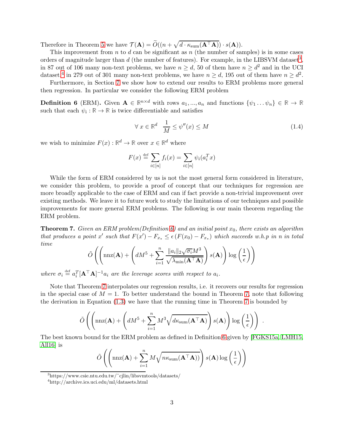Therefore in Theorem [5](#page-2-2) we have  $\mathcal{T}(\mathbf{A}) = \widetilde{O}((n + \sqrt{d \cdot \kappa_{\text{sum}}(\mathbf{A}^{\top}\mathbf{A})}) \cdot s(\mathbf{A})).$ 

This improvement from  $n$  to  $d$  can be significant as  $n$  (the number of samples) is in some cases orders of magnitude larger than  $d$  (the number of features). For example, in the LIBSVM dataset<sup>[3](#page-3-1)</sup>, in 87 out of 106 many non-text problems, we have  $n \geq d$ , 50 of them have  $n \geq d^2$  and in the UCI dataset,<sup>[4](#page-3-2)</sup> in 279 out of 301 many non-text problems, we have  $n \ge d$ , 195 out of them have  $n \ge d^2$ .

Furthermore, in Section [7](#page-13-0) we show how to extend our results to ERM problems more general then regression. In particular we consider the following ERM problem

<span id="page-3-0"></span>**Definition 6** (ERM). Given  $A \in \mathbb{R}^{n \times d}$  with rows  $a_1, ..., a_n$  and functions  $\{\psi_1 \dots \psi_n\} \in \mathbb{R} \to \mathbb{R}$ such that each  $\psi_i : \mathbb{R} \to \mathbb{R}$  is twice differentiable and satisfies

<span id="page-3-4"></span>
$$
\forall x \in \mathbb{R}^d \quad \frac{1}{M} \le \psi''(x) \le M \tag{1.4}
$$

we wish to minimize  $F(x) : \mathbb{R}^d \to \mathbb{R}$  over  $x \in \mathbb{R}^d$  where

$$
F(x) \stackrel{\text{def}}{=} \sum_{i \in [n]} f_i(x) = \sum_{i \in [n]} \psi_i(a_i^T x)
$$

While the form of ERM considered by us is not the most general form considered in literature, we consider this problem, to provide a proof of concept that our techniques for regression are more broadly applicable to the case of ERM and can if fact provide a non-trivial improvement over existing methods. We leave it to future work to study the limitations of our techniques and possible improvements for more general ERM problems. The following is our main theorem regarding the ERM problem.

<span id="page-3-3"></span>**Theorem 7.** Given an ERM problem(Definition [6\)](#page-3-0) and an initial point  $x_0$ , there exists an algorithm that produces a point x' such that  $F(x') - F_{x_*} \leq \epsilon (F(x_0) - F_{x_*})$  which succeeds w.h.p in n in total time

$$
\tilde{O}\left(\left(\max(\mathbf{A}) + \left(dM^5 + \sum_{i=1}^n \frac{\|a_i\|_2 \sqrt{\sigma_i} M^3}{\sqrt{\lambda_{\min}(\mathbf{A}^\top \mathbf{A})}}\right) s(\mathbf{A})\right) \log\left(\frac{1}{\epsilon}\right)\right)
$$

where  $\sigma_i \stackrel{\text{def}}{=} a_i^T [\mathbf{A}^\top \mathbf{A}]^{-1} a_i$  are the leverage scores with respect to  $a_i$ .

Note that Theorem [7](#page-3-3) interpolates our regression results, i.e. it recovers our results for regression in the special case of  $M = 1$ . To better understand the bound in Theorem [7,](#page-3-3) note that following the derivation in Equation [\(1.3\)](#page-2-3) we have that the running time in Theorem [7](#page-3-3) is bounded by

$$
\tilde{O}\left(\left(\text{nnz}(\mathbf{A}) + \left(dM^5 + \sum_{i=1}^n M^3 \sqrt{d\kappa_{\text{sum}}(\mathbf{A}^\top \mathbf{A})}\right) s(\mathbf{A})\right) \log\left(\frac{1}{\epsilon}\right)\right) .
$$

The best known bound for the ERM problem as defined in Definition [6](#page-3-0) given by [\[FGKS15a,](#page-20-6) [LMH15,](#page-20-7) [All16\]](#page-19-0) is

$$
\tilde{O}\left(\left(\text{nnz}(\mathbf{A})+\sum_{i=1}^{n}M\sqrt{n\kappa_{\text{sum}}(\mathbf{A}^{\top}\mathbf{A})})\right)s(\mathbf{A})\log\left(\frac{1}{\epsilon}\right)\right)
$$

<sup>3</sup> https://www.csie.ntu.edu.tw/˜cjlin/libsvmtools/datasets/

<span id="page-3-2"></span><span id="page-3-1"></span><sup>4</sup> http://archive.ics.uci.edu/ml/datasets.html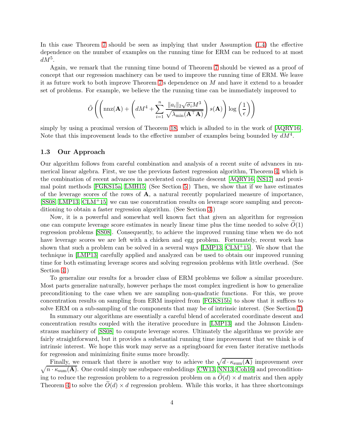In this case Theorem [7](#page-3-3) should be seen as implying that under Assumption [\(1.4\)](#page-3-4) the effective dependence on the number of examples on the running time for ERM can be reduced to at most  $dM^5$ .

Again, we remark that the running time bound of Theorem [7](#page-3-3) should be viewed as a proof of concept that our regression machinery can be used to improve the running time of ERM. We leave it as future work to both improve Theorem [7'](#page-3-3)s dependence on M and have it extend to a broader set of problems. For example, we believe the the running time can be immediately improved to

$$
\tilde{O}\left(\left(\text{nnz}(\mathbf{A}) + \left(dM^4 + \sum_{i=1}^n \frac{\|a_i\|_2 \sqrt{\sigma_i} M^3}{\sqrt{\lambda_{\text{min}}(\mathbf{A}^\top \mathbf{A})}}\right) s(\mathbf{A})\right) \log\left(\frac{1}{\epsilon}\right)\right)
$$

simply by using a proximal version of Theorem [18,](#page-14-0) which is alluded to in the work of [\[AQRY16\]](#page-20-5). Note that this improvement leads to the effective number of examples being bounded by  $dM^4$ .

#### 1.3 Our Approach

Our algorithm follows from careful combination and analysis of a recent suite of advances in numerical linear algebra. First, we use the previous fastest regression algorithm, Theorem [4,](#page-2-0) which is the combination of recent advances in accelerated coordinate descent [\[AQRY16,](#page-20-5) [NS17\]](#page-21-5) and proximal point methods [\[FGKS15a,](#page-20-6) [LMH15\]](#page-20-7) (See Section [5.](#page-9-0)) Then, we show that if we have estimates of the leverage scores of the rows of  $A$ , a natural recently popularized measure of importance, [\[SS08,](#page-21-7) [LMP13,](#page-20-1) [CLM](#page-20-2)+15] we can use concentration results on leverage score sampling and preconditioning to obtain a faster regression algorithm. (See Section [3.](#page-5-0))

Now, it is a powerful and somewhat well known fact that given an algorithm for regression one can compute leverage score estimates in nearly linear time plus the time needed to solve  $O(1)$ regression problems [\[SS08\]](#page-21-7). Consequently, to achieve the improved running time when we do not have leverage scores we are left with a chicken and egg problem. Fortunately, recent work has shown that such a problem can be solved in a several ways [\[LMP13,](#page-20-1) [CLM](#page-20-2)+15]. We show that the technique in [\[LMP13\]](#page-20-1) carefully applied and analyzed can be used to obtain our improved running time for both estimating leverage scores and solving regression problems with little overhead. (See Section [4.](#page-7-0))

To generalize our results for a broader class of ERM problems we follow a similar procedure. Most parts generalize naturally, however perhaps the most complex ingredient is how to generalize preconditioning to the case when we are sampling non-quadratic functions. For this, we prove concentration results on sampling from ERM inspired from [\[FGKS15b\]](#page-20-8) to show that it suffices to solve ERM on a sub-sampling of the components that may be of intrinsic interest. (See Section [7\)](#page-13-0)

In summary our algorithms are essentially a careful blend of accelerated coordinate descent and concentration results coupled with the iterative procedure in [\[LMP13\]](#page-20-1) and the Johnson Lindenstrauss machinery of [\[SS08\]](#page-21-7) to compute leverage scores. Ultimately the algorithms we provide are fairly straightforward, but it provides a substantial running time improvement that we think is of intrinsic interest. We hope this work may serve as a springboard for even faster iterative methods for regression and minimizing finite sums more broadly.

Finally, we remark that there is another way to achieve the  $\sqrt{d \cdot \kappa_{\text{sum}}(A)}$  improvement over  $\sqrt{n \cdot \kappa_{\text{sum}}(A)}$ . One could simply use subspace embeddings [\[CW13,](#page-20-0) [NN13,](#page-21-1) [Coh16\]](#page-20-3) and preconditioning to reduce the regression problem to a regression problem on a  $\tilde{O}(d) \times d$  matrix and then apply Theorem [4](#page-2-0) to solve the  $O(d) \times d$  regression problem. While this works, it has three shortcomings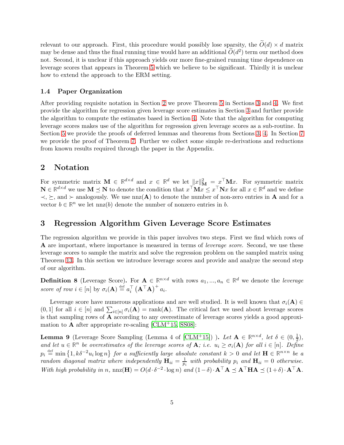relevant to our approach. First, this procedure would possibly lose sparsity, the  $\tilde{O}(d) \times d$  matrix may be dense and thus the final running time would have an additional  $\widetilde{O}(d^2)$  term our method does not. Second, it is unclear if this approach yields our more fine-grained running time dependence on leverage scores that appears in Theorem [5](#page-2-2) which we believe to be significant. Thirdly it is unclear how to extend the approach to the ERM setting.

### 1.4 Paper Organization

After providing requisite notation in Section [2](#page-5-1) we prove Theorem [5](#page-2-2) in Sections [3](#page-5-0) and [4.](#page-7-0) We first provide the algorithm for regression given leverage score estimates in Section [3](#page-5-0) and further provide the algorithm to compute the estimates based in Section [4.](#page-7-0) Note that the algorithm for computing leverage scores makes use of the algorithm for regression given leverage scores as a sub-routine. In Section [5](#page-9-0) we provide the proofs of deferred lemmas and theorems from Sections [3,](#page-5-0) [4.](#page-7-0) In Section [7](#page-13-0) we provide the proof of Theorem [7.](#page-3-3) Further we collect some simple re-derivations and reductions from known results required through the paper in the Appendix.

## <span id="page-5-1"></span>2 Notation

For symmetric matrix  $\mathbf{M} \in \mathbb{R}^{d \times d}$  and  $x \in \mathbb{R}^d$  we let  $||x||^2_{\mathbf{M}} = x^{\top} \mathbf{M} x$ . For symmetric matrix  $\mathbf{N} \in \mathbb{R}^{d \times d}$  we use  $\mathbf{M} \preceq \mathbf{N}$  to denote the condition that  $x^{\top} \mathbf{M} x \leq x^{\top} \mathbf{N} x$  for all  $x \in \mathbb{R}^{d}$  and we define  $\prec, \succeq$ , and ≻ analogously. We use nnz(A) to denote the number of non-zero entries in A and for a vector  $b \in \mathbb{R}^n$  we let  $nnz(b)$  denote the number of nonzero entries in b.

### <span id="page-5-0"></span>3 Regression Algorithm Given Leverage Score Estimates

The regression algorithm we provide in this paper involves two steps. First we find which rows of A are important, where importance is measured in terms of *leverage score*. Second, we use these leverage scores to sample the matrix and solve the regression problem on the sampled matrix using Theorem [13.](#page-9-1) In this section we introduce leverage scores and provide and analyze the second step of our algorithm.

<span id="page-5-3"></span>**Definition 8** (Leverage Score). For  $A \in \mathbb{R}^{n \times d}$  with rows  $a_1, ..., a_n \in \mathbb{R}^d$  we denote the *leverage* score of row  $i \in [n]$  by  $\sigma_i(\mathbf{A}) \stackrel{\text{def}}{=} a_i^\top (\mathbf{A}^\top \mathbf{A})^+ a_i$ .

Leverage score have numerous applications and are well studied. It is well known that  $\sigma_i(\mathbf{A}) \in$  $(0, 1]$  for all  $i \in [n]$  and  $\sum_{i \in [n]} \sigma_i(\mathbf{A}) = \text{rank}(\mathbf{A})$ . The critical fact we used about leverage scores is that sampling rows of A according to any overestimate of leverage scores yields a good approximation to **A** after appropriate re-scaling  $[CLM+15, SS08]$  $[CLM+15, SS08]$ :

<span id="page-5-2"></span>**Lemma 9** (Leverage Score Sampling (Lemma 4 of [\[CLM](#page-20-2)<sup>+</sup>15]) ). Let  $A \in \mathbb{R}^{n \times d}$ , let  $\delta \in (0, \frac{1}{2})$ , **EXECUTE:**  $\mathbf{a} \in \mathbb{R}^n$  be overestimates of the leverage scores of  $\mathbf{A}$ ; i.e.  $u_i \geq \sigma_i(\mathbf{A})$  for all  $i \in [n]$ . Define  $p_i \stackrel{\text{def}}{=} \min\left\{1, k\delta^{-2}u_i\log n\right\}$  for a sufficiently large absolute constant  $k > 0$  and let  $\mathbf{H} \in \mathbb{R}^{n \times n}$  be a random diagonal matrix where independently  $\mathbf{H}_{ii} = \frac{1}{n}$  $\frac{1}{p_i}$  with probability  $p_i$  and  $\mathbf{H}_{ii} = 0$  otherwise. With high probability in n, nnz( $\mathbf{H}$ ) =  $O(d \cdot \delta^{-2} \cdot \log n)$  and  $(1-\delta) \cdot \mathbf{A}^\top \mathbf{A} \preceq \mathbf{A}^\top \mathbf{H} \mathbf{A} \preceq (1+\delta) \cdot \mathbf{A}^\top \mathbf{A}$ .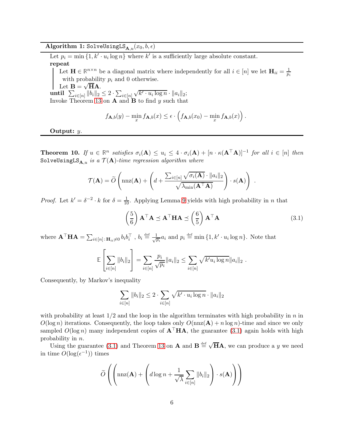## $\overline{\textbf{Algorithm 1:}\text{SolveUsingLS}_{\textbf{A},u}(x_0,b,\epsilon)}$

<span id="page-6-0"></span>Let  $p_i = \min\{1, k' \cdot u_i \log n\}$  where k' is a sufficiently large absolute constant. repeat

Let  $\mathbf{H} \in \mathbb{R}^{n \times n}$  be a diagonal matrix where independently for all  $i \in [n]$  we let  $\mathbf{H}_{ii} = \frac{1}{p_i}$ pi with probability  $p_i$  and 0 otherwise. Let  $\mathbf{B} = \sqrt{\mathbf{H}}\mathbf{A}$ .

until  $\sum_{i \in [n]} ||b_i||_2 \leq 2 \cdot \sum_{i \in [n]}$  $\sqrt{k' \cdot u_i \log n} \cdot ||a_i||_2;$ Invoke Theorem [13](#page-9-1) on  $\bf{A}$  and  $\bf{B}$  to find y such that

$$
f_{\mathbf{A},b}(y) - \min_x f_{\mathbf{A},b}(x) \leq \epsilon \cdot \left( f_{\mathbf{A},b}(x_0) - \min_x f_{\mathbf{A},b}(x) \right).
$$

Output:  $y$ .

<span id="page-6-2"></span>**Theorem 10.** If  $u \in \mathbb{R}^n$  satisfies  $\sigma_i(\mathbf{A}) \leq u_i \leq 4 \cdot \sigma_i(\mathbf{A}) + [n \cdot \kappa(\mathbf{A}^\top \mathbf{A})]^{-1}$  for all  $i \in [n]$  then SolveUsingLS<sub>A</sub>, is a  $\mathcal{T}(\mathbf{A})$ -time regression algorithm where

$$
\mathcal{T}(\mathbf{A}) = \widetilde{O}\left(\max(\mathbf{A}) + \left(d + \frac{\sum_{i \in [n]} \sqrt{\sigma_i(\mathbf{A})} \cdot ||a_i||_2}{\sqrt{\lambda_{\min}(\mathbf{A}^\top \mathbf{A})}}\right) \cdot s(\mathbf{A})\right) .
$$

*Proof.* Let  $k' = \delta^{-2} \cdot k$  for  $\delta = \frac{1}{10}$ . Applying Lemma [9](#page-5-2) yields with high probability in *n* that

<span id="page-6-1"></span>
$$
\left(\frac{5}{6}\right) \mathbf{A}^\top \mathbf{A} \preceq \mathbf{A}^\top \mathbf{H} \mathbf{A} \preceq \left(\frac{6}{5}\right) \mathbf{A}^\top \mathbf{A} \tag{3.1}
$$

where  $\mathbf{A}^\top \mathbf{H} \mathbf{A} = \sum_{i \in [n]: \mathbf{H}_{ii} \neq 0} b_i b_i^\top$  ,  $b_i \stackrel{\text{def}}{=} \frac{1}{\sqrt{i}}$  $\frac{1}{p_i}a_i$  and  $p_i \stackrel{\text{def}}{=} \min\{1, k' \cdot u_i \log n\}$ . Note that

$$
\mathbb{E}\left[\sum_{i\in[n]}\|b_i\|_2\right] = \sum_{i\in[n]}\frac{p_i}{\sqrt{p_i}}\|a_i\|_2 \le \sum_{i\in[n]}\sqrt{k'u_i\log n}\|a_i\|_2.
$$

Consequently, by Markov's inequality

$$
\sum_{i \in [n]} \|b_i\|_2 \le 2 \cdot \sum_{i \in [n]} \sqrt{k' \cdot u_i \log n} \cdot \|a_i\|_2
$$

with probability at least  $1/2$  and the loop in the algorithm terminates with high probability in n in  $O(\log n)$  iterations. Consequently, the loop takes only  $O(n \alpha(A) + n \log n)$ -time and since we only sampled  $O(\log n)$  many independent copies of  $A^{\mathsf{T}}HA$ , the guarantee [\(3.1\)](#page-6-1) again holds with high probability in n.

Using the guarantee [\(3.1\)](#page-6-1) and Theorem [13](#page-9-1) on **A** and  $\mathbf{B} \stackrel{\text{def}}{=} \sqrt{\mathbf{H}}\mathbf{A}$ , we can produce a y we need in time  $O(\log(\epsilon^{-1}))$  times

$$
\widetilde{O}\left(\left(\max(\mathbf{A}) + \left(d\log n + \frac{1}{\sqrt{\lambda}}\sum_{i \in [n]} \|b_i\|_2\right) \cdot s(\mathbf{A})\right)\right)
$$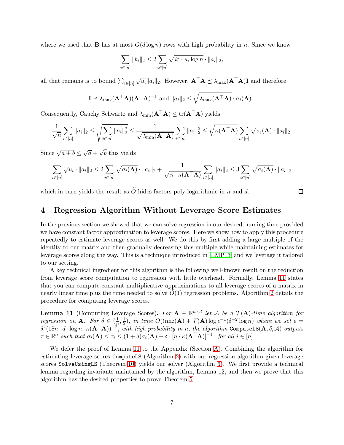where we used that **B** has at most  $O(d \log n)$  rows with high probability in n. Since we know

$$
\sum_{i \in [n]} \|b_i\|_2 \le 2 \sum_{i \in [n]} \sqrt{k' \cdot u_i \log n} \cdot \|a_i\|_2,
$$

all that remains is to bound  $\sum_{i\in [n]}$  $\sqrt{u_i} ||a_i||_2$ . However,  $\mathbf{A}^\top \mathbf{A} \preceq \lambda_{\text{max}}(\mathbf{A}^\top \mathbf{A}) \mathbf{I}$  and therefore

$$
\mathbf{I} \preceq \lambda_{\max}(\mathbf{A}^{\top}\mathbf{A})(\mathbf{A}^{\top}\mathbf{A})^{-1}
$$
 and  $||a_i||_2 \leq \sqrt{\lambda_{\max}(\mathbf{A}^{\top}\mathbf{A})} \cdot \sigma_i(\mathbf{A})$ .

Consequently, Cauchy Schwartz and  $\lambda_{\min}(\mathbf{A}^{\top}\mathbf{A}) \leq \text{tr}(\mathbf{A}^{\top}\mathbf{A})$  yields

$$
\frac{1}{\sqrt{n}} \sum_{i \in [n]} \|a_i\|_2 \leq \sqrt{\sum_{i \in [n]} \|a_i\|_2^2} \leq \frac{1}{\sqrt{\lambda_{\min}(\mathbf{A}^\top \mathbf{A})}} \sum_{i \in [n]} \|a_i\|_2^2 \leq \sqrt{\kappa(\mathbf{A}^\top \mathbf{A})} \sum_{i \in [n]} \sqrt{\sigma_i(\mathbf{A})} \cdot \|a_i\|_2.
$$

Since  $\sqrt{a+b} \leq \sqrt{a} + \sqrt{b}$  this yields

$$
\sum_{i \in [n]} \sqrt{u_i} \cdot \|a_i\|_2 \le 2 \sum_{i \in [n]} \sqrt{\sigma_i(\mathbf{A})} \cdot \|a_i\|_2 + \frac{1}{\sqrt{n \cdot \kappa(\mathbf{A}^\top \mathbf{A})}} \sum_{i \in [n]} \|a_i\|_2 \le 3 \sum_{i \in [n]} \sqrt{\sigma_i(\mathbf{A})} \cdot \|a_i\|_2
$$

 $\Box$ 

which in turn yields the result as  $\tilde{O}$  hides factors poly-logarithmic in n and d.

## <span id="page-7-0"></span>4 Regression Algorithm Without Leverage Score Estimates

In the previous section we showed that we can solve regression in our desired running time provided we have constant factor approximation to leverage scores. Here we show how to apply this procedure repeatedly to estimate leverage scores as well. We do this by first adding a large multiple of the identity to our matrix and then gradually decreasing this multiple while maintaining estimates for leverage scores along the way. This is a technique introduced in [\[LMP13\]](#page-20-1) and we leverage it tailored to our setting.

A key technical ingredient for this algorithm is the following well-known result on the reduction from leverage score computation to regression with little overhead. Formally, Lemma [11](#page-7-1) states that you can compute constant multiplicative approximations to all leverage scores of a matrix in nearly linear time plus the time needed to solve  $O(1)$  regression problems. Algorithm [2](#page-8-0) details the procedure for computing leverage scores.

<span id="page-7-1"></span>**Lemma 11** (Computing Leverage Scores). For  $A \in \mathbb{R}^{n \times d}$  let A be a  $\mathcal{T}(A)$ -time algorithm for *regression on* **A**. For  $\delta \in (\frac{1}{n})^n$  $\frac{1}{n},\frac{1}{2}$  $\frac{1}{2}$ ), in time  $O((\text{nnz}(\mathbf{A}) + \mathcal{T}(\mathbf{A}) \log \epsilon^{-1})\delta^{-2} \log n)$  where we set  $\epsilon =$  $\delta^2(18n \cdot d \cdot \log n \cdot \kappa(\mathbf{A}^{\top}\mathbf{A}))^{-2}$ , with high probability in n, the algorithm ComputeLS( $\mathbf{A}, \delta, \mathcal{A}$ ) outputs  $\tau \in \mathbb{R}^n$  such that  $\sigma_i(\mathbf{A}) \leq \tau_i \leq (1+\delta)\sigma_i(\mathbf{A}) + \delta \cdot [n \cdot \kappa(\mathbf{A}^\top \mathbf{A})]^{-1}$ . for all  $i \in [n]$ .

We defer the proof of Lemma [11](#page-7-1) to the Appendix (Section [A\)](#page-21-8). Combining the algorithm for estimating leverage scores ComputeLS (Algorithm [2\)](#page-8-0) with our regression algorithm given leverage scores SolveUsingLS (Theorem [10\)](#page-6-2) yields our solver (Algorithm [3\)](#page-8-1). We first provide a technical lemma regarding invariants maintained by the algorithm, Lemma [12,](#page-8-2) and then we prove that this algorithm has the desired properties to prove Theorem [5.](#page-2-2)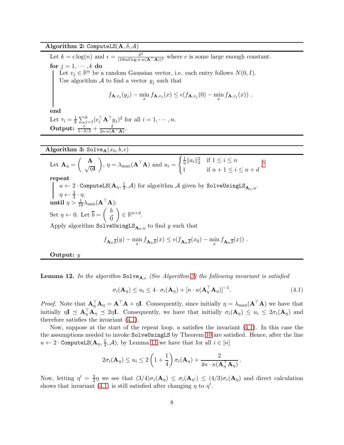### $\mathbf{Algorithm}~\mathbf{2:}~\mathbf{ComputeLS}(\mathbf{A}, \delta, \mathcal{A})$

<span id="page-8-0"></span>Let  $k = c \log(n)$  and  $\epsilon = \frac{\delta^2}{(18nd \log n \cdot \kappa(\mathbf{A}^\top \mathbf{A}))^2}$  where c is some large enough constant. for  $j = 1, \dots, k$  do Let  $v_j \in \mathbb{R}^n$  be a random Gaussian vector, i.e. each entry follows  $N(0, I)$ . Use algorithm  $A$  to find a vector  $y_j$  such that

$$
f_{\mathbf{A},v_j}(y_j) - \min_x f_{\mathbf{A},v_j}(x) \leq \epsilon(f_{\mathbf{A},v_j}(0) - \min_x f_{\mathbf{A},v_j}(x)).
$$

end

Let  $\tau_i = \frac{1}{k}$  $\frac{1}{k} \sum_{j=1}^{k} (e_i^{\top} \mathbf{A}^{\top} y_j)^2$  for all  $i = 1, \cdots, n$ .  $\textbf{Output:} \; \frac{\tau}{1-\delta/3} + \frac{\delta}{2n\cdot\kappa(\mathbf{A}^\top\mathbf{A})}.$ 

<span id="page-8-1"></span>Algorithm 3: Solve $_{\mathbf{A}}(x_0,b,\epsilon)$ 

Let 
$$
\mathbf{A}_{\eta} = \begin{pmatrix} \mathbf{A} \\ \sqrt{\eta} \mathbf{I} \end{pmatrix}
$$
,  $\eta = \lambda_{\text{max}}(\mathbf{A}^{\top}\mathbf{A})$  and  $u_i = \begin{cases} \frac{1}{\eta} ||a_i||_2^2 & \text{if } 1 \leq i \leq n \\ 1 & \text{if } n+1 \leq i \leq n+d \end{cases}$ .<sup>5</sup>

repeat

 $u \leftarrow 2 \cdot \texttt{ComputeLS} (\mathbf{A}_\eta, \tfrac{1}{4})$  $(\frac{1}{4},\mathcal{A})$  for algorithm  $\mathcal A$  given by SolveUsingLS $_{\mathbf{A}_{\eta},u}.$  $\eta \leftarrow \frac{3}{4} \cdot \eta.$ until  $\eta > \frac{1}{10} \lambda_{\min}(\mathbf{A}^{\top} \mathbf{A});$ Set  $\eta \leftarrow 0$ . Let  $b =$  $\int b$  $\vec{0}$  $\Big) \in \mathbb{R}^{n+d}.$ Apply algorithm SolveUsingLS $_{A_0,y}$  to find y such that

$$
f_{\mathbf{A}_0,\overline{b}}(y) - \min_x f_{\mathbf{A}_0,\overline{b}}(x) \le \epsilon (f_{\mathbf{A}_0,\overline{b}}(x_0) - \min_x f_{\mathbf{A}_0,\overline{b}}(x)) .
$$

Output:  $y$ 

<span id="page-8-2"></span>**Lemma 12.** In the algorithm  $Solve_{A,\epsilon}$  (See Algorithm [3\)](#page-8-1) the following invariant is satisfied

<span id="page-8-3"></span>
$$
\sigma_i(\mathbf{A}_{\eta}) \le u_i \le 4 \cdot \sigma_i(\mathbf{A}_{\eta}) + [n \cdot \kappa(\mathbf{A}_{\eta}^{\top} \mathbf{A}_{\eta})]^{-1}.
$$
\n(4.1)

*Proof.* Note that  $A_{\eta}^{\perp} A_{\eta} = A^{\perp} A + \eta I$ . Consequently, since initially  $\eta = \lambda_{\max}(A^{\perp} A)$  we have that initially  $\eta I \preceq A_{\eta}^{\dagger} A_{\eta} \preceq 2\eta I$ . Consequently, we have that initially  $\sigma_i(A_{\eta}) \preceq u_i \preceq 2\sigma_i(A_{\eta})$  and therefore satisfies the invariant [\(4.1\)](#page-8-3).

Now, suppose at the start of the repeat loop,  $u$  satisfies the invariant  $(4.1)$ . In this case the the assumptions needed to invoke SolveUsingLS by Theorem [10](#page-6-2) are satisfied. Hence, after the line  $u \leftarrow 2 \cdot \texttt{ComputeLS} (\mathbf{A}_\eta, \tfrac{1}{4})$  $(\frac{1}{4}, \mathcal{A})$ , by Lemma [11](#page-7-1) we have that for all  $i \in [n]$ 

$$
2\sigma_i(\mathbf{A}_{\eta}) \leq u_i \leq 2\left(1 + \frac{1}{4}\right)\sigma_i(\mathbf{A}_{\eta}) + \frac{2}{4n \cdot \kappa(\mathbf{A}_{\eta}^{\top} \mathbf{A}_{\eta})}.
$$

Now, letting  $\eta' = \frac{3}{4}$  $\frac{3}{4}\eta$  we see that  $(3/4)\sigma_i(A_\eta) \leq \sigma_i(A_{\eta'}) \leq (4/3)\sigma_i(A_\eta)$  and direct calculation shows that invariant [\(4.1\)](#page-8-3) is still satisfied after changing  $\eta$  to  $\eta'$ .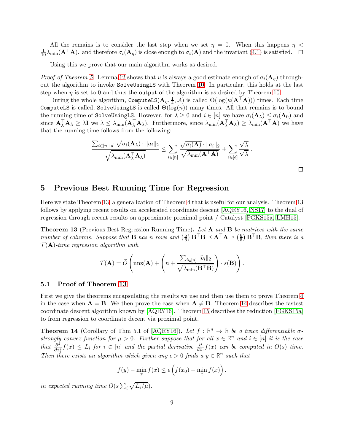All the remains is to consider the last step when we set  $\eta = 0$ . When this happens  $\eta$  <  $\frac{1}{10}\lambda_{\min}(\mathbf{A}^{\top}\mathbf{A})$ . and therefore  $\sigma_i(\mathbf{A}_{\eta})$  is close enough to  $\sigma_i(\mathbf{A})$  and the invariant  $(4.1)$  is satisfied.

Using this we prove that our main algorithm works as desired.

*Proof of Theorem [5.](#page-2-2)* Lemma [12](#page-8-2) shows that u is always a good estimate enough of  $\sigma_i(\mathbf{A}_n)$  throughout the algorithm to invoke SolveUsingLS with Theorem [10.](#page-6-2) In particular, this holds at the last step when  $\eta$  is set to 0 and thus the output of the algorithm is as desired by Theorem [10.](#page-6-2)

During the whole algorithm, <code>ComputeLS( $\mathbf{A}_{\eta}, \frac{1}{4}$ </code>  $(\frac{1}{4}, \mathcal{A})$  is called  $\Theta(\log(\kappa(\mathbf{A}^{\top}\mathbf{A})))$  times. Each time ComputeLS is called, SolveUsingLS is called  $\Theta(\log(n))$  many times. All that remains is to bound the running time of SolveUsingLS. However, for  $\lambda \geq 0$  and  $i \in [n]$  we have  $\sigma_i(\mathbf{A}_{\lambda}) \leq \sigma_i(\mathbf{A}_0)$  and since  $\mathbf{A}_{\lambda}^{\perp} \mathbf{A}_{\lambda} \geq \lambda \mathbf{I}$  we  $\lambda \leq \lambda_{\min}(\mathbf{A}_{\lambda}^{\perp} \mathbf{A}_{\lambda})$ . Furthermore, since  $\lambda_{\min}(\mathbf{A}_{\lambda}^{\perp} \mathbf{A}_{\lambda}) \geq \lambda_{\min}(\mathbf{A}^{\perp} \mathbf{A})$  we have that the running time follows from the following:

$$
\frac{\sum_{i\in[n+d]}\sqrt{\sigma_i(\mathbf{A}_\lambda)}\cdot\|a_i\|_2}{\sqrt{\lambda_{\min}(\mathbf{A}_\lambda^\top\mathbf{A}_\lambda)}}\leq \sum_{i\in[n]}\frac{\sqrt{\sigma_i(\mathbf{A})}\cdot\|a_i\|_2}{\sqrt{\lambda_{\min}(\mathbf{A}^\top\mathbf{A})}}+\sum_{i\in[d]}\frac{\sqrt{\lambda}}{\sqrt{\lambda}}.
$$

## <span id="page-9-0"></span>5 Previous Best Running Time for Regression

Here we state Theorem [13,](#page-9-1) a generalization of Theorem [4](#page-2-0) that is useful for our analysis. Theorem [13](#page-9-1) follows by applying recent results on accelerated coordinate descent [\[AQRY16,](#page-20-5) [NS17\]](#page-21-5) to the dual of regression through recent results on approximate proximal point / Catalyst [\[FGKS15a,](#page-20-6) [LMH15\]](#page-20-7).

<span id="page-9-1"></span>**Theorem 13** (Previous Best Regression Running Time). Let A and B be matrices with the same number of columns. Suppose that **B** has n rows and  $\left(\frac{5}{6}\right)$  $\left(\frac{5}{6}\right) \mathbf{B}^\top \mathbf{B} \preceq \mathbf{A}^\top \mathbf{A} \preceq \left(\frac{6}{5}\right)$  $\left(\frac{6}{5}\right)$  **B**<sup>T</sup>**B**, then there is a  $\mathcal{T}(\mathbf{A})$ -time regression algorithm with

$$
\mathcal{T}(\mathbf{A}) = \widetilde{O}\left(\max(\mathbf{A}) + \left(n + \frac{\sum_{i \in [n]} \|b_i\|_2}{\sqrt{\lambda_{\min}(\mathbf{B}^\top \mathbf{B})}}\right) \cdot s(\mathbf{B})\right).
$$

### 5.1 Proof of Theorem [13](#page-9-1)

First we give the theorems encapsulating the results we use and then use them to prove Theorem [4](#page-2-0) in the case when  $\mathbf{A} = \mathbf{B}$ . We then prove the case when  $\mathbf{A} \neq \mathbf{B}$ . Theorem [14](#page-9-2) describes the fastest coordinate descent algorithm known by [\[AQRY16\]](#page-20-5). Theorem [15](#page-10-0) describes the reduction [\[FGKS15a\]](#page-20-6) to from regression to coordinate decent via proximal point.

<span id="page-9-2"></span>**Theorem 14** (Corollary of Thm 5.1 of [\[AQRY16\]](#page-20-5)). Let  $f : \mathbb{R}^n \to \mathbb{R}$  be a twice differentiable  $\sigma$ strongly convex function for  $\mu > 0$ . Further suppose that for all  $x \in \mathbb{R}^n$  and  $i \in [n]$  it is the case that  $\frac{\partial^2}{\partial x^2}$  $\frac{\partial^2}{\partial x_i^2} f(x) \leq L_i$  for  $i \in [n]$  and the partial derivative  $\frac{\partial}{\partial x_i} f(x)$  can be computed in  $O(s)$  time. Then there exists an algorithm which given any  $\epsilon > 0$  finds a  $y \in \mathbb{R}^n$  such that

$$
f(y) - \min_x f(x) \le \epsilon \left( f(x_0) - \min_x f(x) \right).
$$

in expected running time  $O(s \sum_i \sqrt{L_i/\mu}).$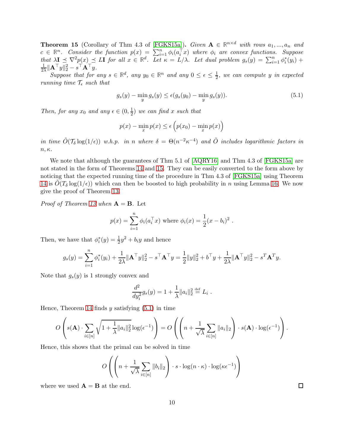<span id="page-10-0"></span>**Theorem 15** (Corollary of Thm 4.3 of [\[FGKS15a\]](#page-20-6)). Given  $A \in \mathbb{R}^{n \times d}$  with rows  $a_1, ..., a_n$  and  $c \in \mathbb{R}^n$ . Consider the function  $p(x) = \sum_{i=1}^n \phi_i(a_i^\top x)$  where  $\phi_i$  are convex functions. Suppose that  $\lambda I \preceq \nabla^2 p(x) \preceq L I$  for all  $x \in \mathbb{R}^d$ . Let  $\kappa = L/\lambda$ . Let dual problem  $g_s(y) = \sum_{i=1}^n \phi_i^*(y_i) +$ 1  $\frac{1}{2\lambda} \|\mathbf{A}^\top y\|_2^2 - s^\top \mathbf{A}^\top y.$ 

Suppose that for any  $s \in \mathbb{R}^d$ , any  $y_0 \in \mathbb{R}^n$  and any  $0 \leq \epsilon \leq \frac{1}{2}$  $\frac{1}{2}$ , we can compute y in expected running time  $\mathcal{T}_{\epsilon}$  such that

<span id="page-10-1"></span>
$$
g_s(y) - \min_y g_s(y) \le \epsilon (g_s(y_0) - \min_y g_s(y)). \tag{5.1}
$$

Then, for any  $x_0$  and any  $\epsilon \in (0, \frac{1}{2})$  $\frac{1}{2}$ ) we can find x such that

$$
p(x) - \min_{x} p(x) \le \epsilon \left( p(x_0) - \min_{x} p(x) \right)
$$

in time  $\tilde{O}(\mathcal{T}_{\delta}\log(1/\epsilon))$  w.h.p. in n where  $\delta = \Theta(n^{-2}\kappa^{-4})$  and  $\tilde{O}$  includes logarithmic factors in  $n, \kappa$ .

We note that although the guarantees of Thm 5.1 of [\[AQRY16\]](#page-20-5) and Thm 4.3 of [\[FGKS15a\]](#page-20-6) are not stated in the form of Theorems [14](#page-9-2) and [15.](#page-10-0) They can be easily converted to the form above by noticing that the expected running time of the procedure in Thm 4.3 of [\[FGKS15a\]](#page-20-6) using Theorem [14](#page-9-2) is  $O(T_\delta \log(1/\epsilon))$  which can then be boosted to high probability in n using Lemma [16.](#page-12-0) We now give the proof of Theorem [13.](#page-9-1)

*Proof of Theorem [13](#page-9-1) when*  $\mathbf{A} = \mathbf{B}$ . Let

$$
p(x) = \sum_{i=1}^{n} \phi_i(a_i^{\top} x)
$$
 where  $\phi_i(x) = \frac{1}{2}(x - b_i)^2$ .

Then, we have that  $\phi_i^*(y) = \frac{1}{2}y^2 + b_i y$  and hence

$$
g_s(y) = \sum_{i=1}^n \phi_i^*(y_i) + \frac{1}{2\lambda} ||\mathbf{A}^\top y||_2^2 - s^\top \mathbf{A}^\top y = \frac{1}{2} ||y||_2^2 + b^\top y + \frac{1}{2\lambda} ||\mathbf{A}^\top y||_2^2 - s^T \mathbf{A}^T y.
$$

Note that  $g_s(y)$  is 1 strongly convex and

$$
\frac{d^2}{dy_i^2}g_s(y) = 1 + \frac{1}{\lambda} ||a_i||_2^2 \stackrel{\text{def}}{=} L_i .
$$

Hence, Theorem [14](#page-9-2) finds  $y$  satisfying  $(5.1)$  in time

$$
O\left(s(\mathbf{A})\cdot \sum_{i\in[n]} \sqrt{1+\frac{1}{\lambda}||a_i||_2^2}\log(\epsilon^{-1})\right) = O\left(\left(n+\frac{1}{\sqrt{\lambda}}\sum_{i\in[n]}||a_i||_2\right)\cdot s(\mathbf{A})\cdot \log(\epsilon^{-1})\right).
$$

Hence, this shows that the primal can be solved in time

$$
O\left(\left(n+\frac{1}{\sqrt{\lambda}}\sum_{i\in[n]}\|b_i\|_2\right)\cdot s\cdot\log(n\cdot\kappa)\cdot\log(\kappa\epsilon^{-1})\right)
$$

where we used  $\mathbf{A} = \mathbf{B}$  at the end.

 $\Box$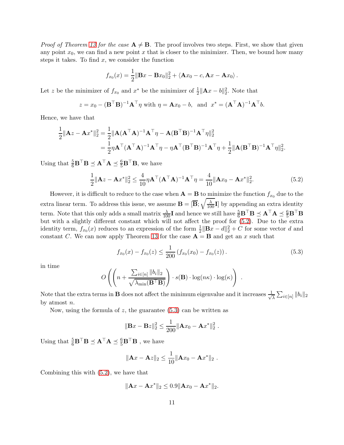*Proof of Theorem [13](#page-9-1) for the case*  $A \neq B$ . The proof involves two steps. First, we show that given any point  $x_0$ , we can find a new point x that is closer to the minimizer. Then, we bound how many steps it takes. To find  $x$ , we consider the function

$$
f_{x_0}(x) = \frac{1}{2} \|\mathbf{B}x - \mathbf{B}x_0\|_2^2 + \langle \mathbf{A}x_0 - c, \mathbf{A}x - \mathbf{A}x_0 \rangle.
$$

Let z be the minimizer of  $f_{x_0}$  and  $x^*$  be the minimizer of  $\frac{1}{2} \|\mathbf{A}x - b\|_2^2$ . Note that

$$
z = x_0 - (\mathbf{B}^\top \mathbf{B})^{-1} \mathbf{A}^\top \eta \text{ with } \eta = \mathbf{A} x_0 - b, \text{ and } x^* = (\mathbf{A}^\top \mathbf{A})^{-1} \mathbf{A}^\top b.
$$

Hence, we have that

$$
\frac{1}{2} \|\mathbf{A}z - \mathbf{A}x^*\|_2^2 = \frac{1}{2} \|\mathbf{A}(\mathbf{A}^\top \mathbf{A})^{-1} \mathbf{A}^\top \boldsymbol{\eta} - \mathbf{A}(\mathbf{B}^\top \mathbf{B})^{-1} \mathbf{A}^\top \boldsymbol{\eta} \|_2^2
$$
  
= 
$$
\frac{1}{2} \boldsymbol{\eta} \mathbf{A}^\top (\mathbf{A}^\top \mathbf{A})^{-1} \mathbf{A}^\top \boldsymbol{\eta} - \boldsymbol{\eta} \mathbf{A}^\top (\mathbf{B}^\top \mathbf{B})^{-1} \mathbf{A}^\top \boldsymbol{\eta} + \frac{1}{2} \|\mathbf{A}(\mathbf{B}^\top \mathbf{B})^{-1} \mathbf{A}^\top \boldsymbol{\eta} \|_2^2.
$$

Using that  $\frac{5}{6}$ **B**<sup>⊤</sup>**B**  $\leq$  **A**<sup>⊤</sup>**A**  $\leq \frac{6}{5}$ **B**<sup>⊤</sup>**B**, we have

<span id="page-11-0"></span>
$$
\frac{1}{2} \|\mathbf{A}z - \mathbf{A}x^*\|_2^2 \le \frac{4}{10} \eta \mathbf{A}^\top (\mathbf{A}^\top \mathbf{A})^{-1} \mathbf{A}^\top \eta = \frac{4}{10} \|\mathbf{A}x_0 - \mathbf{A}x^*\|_2^2.
$$
 (5.2)

However, it is difficult to reduce to the case when  $\mathbf{A} = \mathbf{B}$  to minimize the function  $f_{x_0}$  due to the extra linear term. To address this issue, we assume  $\mathbf{B} = [\overline{\mathbf{B}}; \sqrt{\frac{\lambda}{100}}\mathbf{I}]$  by appending an extra identity term. Note that this only adds a small matrix  $\frac{\lambda}{100}$ **I** and hence we still have  $\frac{5}{6}$ **B**<sup>⊤</sup>**B**  $\leq$  **A**<sup>⊤</sup>**A**  $\leq \frac{6}{5}$ **B**<sup>⊤</sup>**B** but with a slightly different constant which will not affect the proof for [\(5.2\)](#page-11-0). Due to the extra identity term,  $f_{x0}(x)$  reduces to an expression of the form  $\frac{1}{2} \|\mathbf{B}x - d\|_2^2 + C$  for some vector d and constant C. We can now apply Theorem [13](#page-9-1) for the case  $\mathbf{A} = \mathbf{B}$  and get an x such that

<span id="page-11-1"></span>
$$
f_{x_0}(x) - f_{x_0}(z) \le \frac{1}{200} \left( f_{x_0}(x_0) - f_{x_0}(z) \right). \tag{5.3}
$$

in time

$$
O\left(\left(n + \frac{\sum_{i\in[n]} \|b_i\|_2}{\sqrt{\lambda_{\min}(\mathbf{B}^\top \mathbf{B})}}\right) \cdot s(\mathbf{B}) \cdot \log(n\kappa) \cdot \log(\kappa)\right) .
$$

Note that the extra terms in **B** does not affect the minimum eigenvalue and it increases  $\frac{1}{\sqrt{2}}$  $\frac{1}{\lambda} \sum_{i \in [n]} \|b_i\|_2$ by atmost  $n$ .

Now, using the formula of z, the guarantee  $(5.3)$  can be written as

$$
\|\mathbf{B}x-\mathbf{B}z\|_2^2 \leq \frac{1}{200} \|\mathbf{A}x_0-\mathbf{A}x^*\|_2^2.
$$

Using that  $\frac{5}{6} \mathbf{B}^\top \mathbf{B} \preceq \mathbf{A}^\top \mathbf{A} \preceq \frac{6}{5} \mathbf{B}^\top \mathbf{B}$ , we have

$$
\|\mathbf{A}x - \mathbf{A}z\|_2 \leq \frac{1}{10} \|\mathbf{A}x_0 - \mathbf{A}x^*\|_2.
$$

Combining this with [\(5.2\)](#page-11-0), we have that

$$
\|\mathbf{A}x - \mathbf{A}x^*\|_2 \leq 0.9 \|\mathbf{A}x_0 - \mathbf{A}x^*\|_2.
$$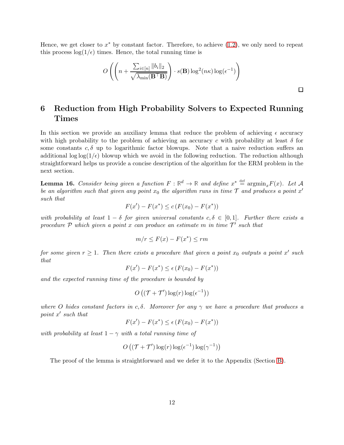Hence, we get closer to  $x^*$  by constant factor. Therefore, to achieve  $(1.2)$ , we only need to repeat this process  $\log(1/\epsilon)$  times. Hence, the total running time is

$$
O\left(\left(n + \frac{\sum_{i \in [n]} \Vert b_i \Vert_2}{\sqrt{\lambda_{\min}(\mathbf{B}^\top \mathbf{B})}}\right) \cdot s(\mathbf{B}) \log^2(n\kappa) \log(\epsilon^{-1})\right)
$$

 $\Box$ 

## 6 Reduction from High Probability Solvers to Expected Running Times

In this section we provide an auxiliary lemma that reduce the problem of achieving  $\epsilon$  accuracy with high probability to the problem of achieving an accuracy c with probability at least  $\delta$  for some constants  $c, \delta$  up to logarithmic factor blowups. Note that a naive reduction suffers an additional log log( $1/\epsilon$ ) blowup which we avoid in the following reduction. The reduction although straightforward helps us provide a concise description of the algorithm for the ERM problem in the next section.

<span id="page-12-0"></span>**Lemma 16.** Consider being given a function  $F : \mathbb{R}^d \to \mathbb{R}$  and define  $x^* \stackrel{\text{def}}{=} \operatorname{argmin}_x F(x)$ . Let A be an algorithm such that given any point  $x_0$  the algorithm runs in time  ${\cal T}$  and produces a point  $x'$ such that

$$
F(x') - F(x^*) \le c (F(x_0) - F(x^*))
$$

with probability at least  $1 - \delta$  for given universal constants  $c, \delta \in [0, 1]$ . Further there exists a procedure  $P$  which given a point x can produce an estimate m in time  $\mathcal{T}'$  such that

$$
m/r \le F(x) - F(x^*) \le rm
$$

for some given  $r \geq 1$ . Then there exists a procedure that given a point  $x_0$  outputs a point  $x'$  such that

$$
F(x') - F(x^*) \le \epsilon (F(x_0) - F(x^*))
$$

and the expected running time of the procedure is bounded by

$$
O\left((\mathcal{T} + \mathcal{T}') \log(r) \log(\epsilon^{-1})\right)
$$

where O hides constant factors in c,  $\delta$ . Moreover for any  $\gamma$  we have a procedure that produces a point x ′ such that

$$
F(x') - F(x^*) \le \epsilon (F(x_0) - F(x^*))
$$

with probability at least  $1 - \gamma$  with a total running time of

$$
O\left((\mathcal{T} + \mathcal{T}') \log(r) \log(\epsilon^{-1}) \log(\gamma^{-1})\right)
$$

The proof of the lemma is straightforward and we defer it to the Appendix (Section [B\)](#page-22-0).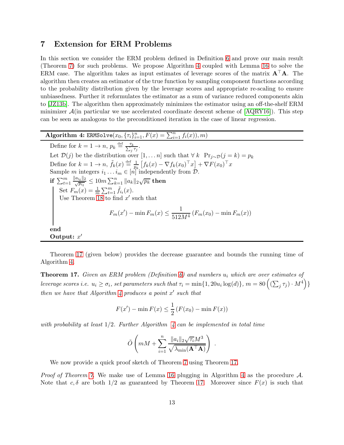## <span id="page-13-0"></span>7 Extension for ERM Problems

In this section we consider the ERM problem defined in Definition [6](#page-3-0) and prove our main result (Theorem [7\)](#page-3-3) for such problems. We propose Algorithm [4](#page-13-1) coupled with Lemma [16](#page-12-0) to solve the ERM case. The algorithm takes as input estimates of leverage scores of the matrix  $\mathbf{A}^\top \mathbf{A}$ . The algorithm then creates an estimator of the true function by sampling component functions according to the probability distribution given by the leverage scores and appropriate re-scaling to ensure unbiasedness. Further it reformulates the estimator as a sum of variance reduced components akin to [\[JZ13b\]](#page-20-9). The algorithm then approximately minimizes the estimator using an off-the-shelf ERM minimizer  $\mathcal{A}$ (in particular we use accelerated coordinate descent scheme of  $[A\text{QRY16}]$ ). This step can be seen as analogous to the preconditioned iteration in the case of linear regression.

<span id="page-13-1"></span>Algorithm 4: ERMSolve $(x_0, \{\tau_i\}_{i=1}^n, F(x) = \sum_{i=1}^n f_i(x), m)$ 

Define for  $k = 1 \rightarrow n$ ,  $p_k \stackrel{\text{def}}{=} \frac{\tau_k}{\sum_j \tau_j}$ . Let  $\mathcal{D}(j)$  be the distribution over  $[1, \ldots n]$  such that  $\forall k \ \Pr_{j \sim \mathcal{D}}(j = k) = p_k$ Define for  $k = 1 \to n$ ,  $\tilde{f}_k(x) \stackrel{\text{def}}{=} \frac{1}{p_k} \left[ f_k(x) - \nabla f_k(x_0)^\top x \right] + \nabla F(x_0)^\top x$ Sample m integers  $i_1 \tldots i_m \tbinom{[n]}{m}$  independently from  $\mathcal{D}$ . if  $\sum_{t=1}^m \frac{\|a_{i_t}\|_2}{\sqrt{p_{i_t}}} \leq 10 m \sum_{k=1}^n \|a_k\|_2 \sqrt{p_k}$  then Set  $F_m(x) = \frac{1}{m} \sum_{t=1}^m \tilde{f}_{i_t}(x)$ . Use Theorem [18](#page-14-0) to find  $x'$  such that  $F_m(x') - \min F_m(x) \leq \frac{1}{512}$  $\frac{1}{512M^4}(F_m(x_0) - \min F_m(x))$ end Output:  $x'$ 

Theorem [17](#page-13-2) (given below) provides the decrease guarantee and bounds the running time of Algorithm [4.](#page-13-1)

<span id="page-13-2"></span>**Theorem 17.** Given an ERM problem (Definition [6\)](#page-3-0) and numbers  $u_i$  which are over estimates of leverage scores i.e.  $u_i \geq \sigma_i$ , set parameters such that  $\tau_i = \min\{1, 20u_i \log(d)\}, m = 80\left((\sum_j \tau_j) \cdot M^4\right)$ } then we have that Algorithm  $\lambda$  produces a point  $x'$  such that

$$
F(x') - \min F(x) \le \frac{1}{2} (F(x_0) - \min F(x))
$$

with probability at least  $1/2$ . Further Algorithm [4](#page-13-1) can be implemented in total time

$$
\tilde{O}\left(mM + \sum_{i=1}^n \frac{\|a_i\|_2 \sqrt{\tau_i} M^3}{\sqrt{\lambda_{\min}(\mathbf{A}^\top \mathbf{A})}}\right) .
$$

We now provide a quick proof sketch of Theorem [7](#page-3-3) using Theorem [17.](#page-13-2)

Proof of Theorem [7.](#page-3-3) We make use of Lemma [16](#page-12-0) plugging in Algorithm [4](#page-13-1) as the procedure A. Note that  $c, \delta$  are both  $1/2$  as guaranteed by Theorem [17.](#page-13-2) Moreover since  $F(x)$  is such that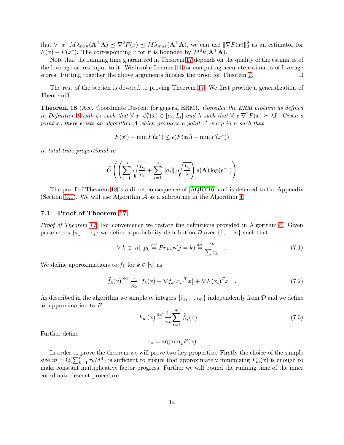that  $\forall x \ M\lambda_{min}(\mathbf{A}^\top \mathbf{A}) \preceq \nabla^2 F(x) \preceq M\lambda_{max}(\mathbf{A}^\top \mathbf{A}),$  we can use  $\|\nabla F(x)\|_2^2$  as an estimator for  $F(x) - F(x^*)$ . The corresponding r for it is bounded by  $M^2 \kappa(\mathbf{A}^\top \mathbf{A})$ .

Note that the running time guaranteed in Theorem [17](#page-13-2) depends on the quality of the estimates of the leverage scores input to it. We invoke Lemma [11](#page-7-1) for computing accurate estimates of leverage scores. Putting together the above arguments finishes the proof for Theorem [7.](#page-3-3)  $\Box$ 

The rest of the section is devoted to proving Theorem [17.](#page-13-2) We first provide a generalization of Theorem [4.](#page-2-0)

<span id="page-14-0"></span>Theorem 18 (Acc. Coordinate Descent for general ERM). Consider the ERM problem as defined in Definition [6](#page-3-0) with  $\phi_i$  such that  $\forall x \ \phi''_i(x) \in [\mu_i, L_i]$  and  $\lambda$  such that  $\forall x \ \nabla^2 F(x) \succeq \lambda I$ . Given a point  $x_0$  there exists an algorithm  $\mathcal A$  which produces a point  $x'$  w.h.p in n such that

$$
F(x') - \min F(x^*) \le \epsilon (F(x_0) - \min F(x^*))
$$

in total time proportional to

$$
\tilde{O}\left(\left(\sum_{i=1}^n \sqrt{\frac{L_i}{\mu_i}} + \sum_{i=1}^n \|a_i\|_2 \sqrt{\frac{L_i}{\lambda}}\right) s(\mathbf{A}) \log(\epsilon^{-1})\right)
$$

The proof of Theorem [18](#page-14-0) is a direct consequence of [\[AQRY16\]](#page-20-5) and is deferred to the Appendix (Section [C.1\)](#page-23-0). We will use Algorithm  $A$  as a subroutine in the Algorithm [4.](#page-13-1)

### 7.1 Proof of Theorem [17](#page-13-2)

*Proof of Theorem [17.](#page-13-2)* For convenience we restate the definitions provided in Algorithm [4.](#page-13-1) Given parameters  $\{\tau_1 \ldots \tau_n\}$  we define a probability distribution D over  $\{1, \ldots n\}$  such that

<span id="page-14-2"></span>
$$
\forall k \in [n] \ p_k \stackrel{\text{def}}{=} Pr_{j \sim \mathcal{D}}(j = k) \stackrel{\text{def}}{=} \frac{\tau_k}{\sum \tau_k} \quad . \tag{7.1}
$$

We define approximations to  $f_k$  for  $k \in [n]$  as

<span id="page-14-3"></span>
$$
\tilde{f}_k(x) \stackrel{\text{def}}{=} \frac{1}{p_k} \left[ f_k(x) - \nabla f_k(x_i)^T x \right] + \nabla F(x_i)^T x \quad . \tag{7.2}
$$

As described in the algorithm we sample m integers  $\{i_1, \ldots i_m\}$  independently from D and we define an approximation to F

<span id="page-14-1"></span>
$$
F_m(x) \stackrel{\text{def}}{=} \frac{1}{m} \sum_{t=1}^m \tilde{f}_{i_t}(x) \quad . \tag{7.3}
$$

Further define

$$
x_* = \operatorname{argmin}_x F(x)
$$

In order to prove the theorem we will prove two key properties. Firstly the choice of the sample size  $m = \Omega(\sum_{k=1}^n \tau_k M^4)$  is sufficient to ensure that approximately minimizing  $F_m(x)$  is enough to make constant multiplicative factor progress. Further we will bound the running time of the inner coordinate descent procedure.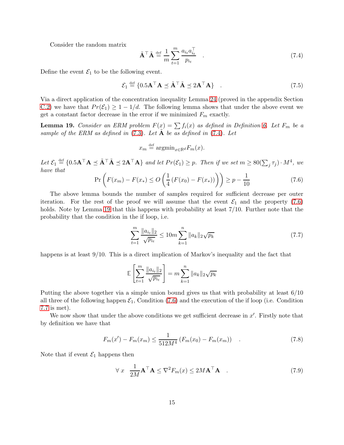Consider the random matrix

<span id="page-15-0"></span>
$$
\tilde{\mathbf{A}}^{\top} \tilde{\mathbf{A}} \stackrel{\text{def}}{=} \frac{1}{m} \sum_{t=1}^{m} \frac{a_{it} a_{it}^{\top}}{p_{it}}.
$$
 (7.4)

Define the event  $\mathcal{E}_1$  to be the following event.

$$
\mathcal{E}_1 \stackrel{\text{def}}{=} \{0.5\mathbf{A}^\top \mathbf{A} \preceq \tilde{\mathbf{A}}^\top \tilde{\mathbf{A}} \preceq 2\mathbf{A}^\top \mathbf{A}\} \tag{7.5}
$$

Via a direct application of the concentration inequality Lemma [24](#page-24-0) (proved in the appendix Section [C.2\)](#page-24-1) we have that  $Pr(\mathcal{E}_1) \geq 1 - 1/d$ . The following lemma shows that under the above event we get a constant factor decrease in the error if we minimized  $F_m$  exactly.

<span id="page-15-2"></span>**Lemma 19.** Consider an ERM problem  $F(x) = \sum f_i(x)$  as defined in Definition [6.](#page-3-0) Let  $F_m$  be a sample of the ERM as defined in  $(7.3)$ . Let  $\tilde{A}$  be as defined in  $(7.4)$ . Let

$$
x_m \stackrel{\text{def}}{=} \operatorname{argmin}_{x \in \mathbb{R}^d} F_m(x).
$$

Let  $\mathcal{E}_1 \stackrel{\text{def}}{=} \{0.5\mathbf{A}^\top \mathbf{A} \preceq \tilde{\mathbf{A}}^\top \tilde{\mathbf{A}} \preceq 2\mathbf{A}^\top \mathbf{A}\}$  and let  $Pr(\mathcal{E}_1) \geq p$ . Then if we set  $m \geq 80(\sum_j \tau_j) \cdot M^4$ , we have that

<span id="page-15-1"></span>
$$
\Pr\left(F(x_m) - F(x_*) \le O\left(\frac{1}{4}\left(F(x_0) - F(x_*)\right)\right)\right) \ge p - \frac{1}{10} \tag{7.6}
$$

The above lemma bounds the number of samples required for sufficient decrease per outer iteration. For the rest of the proof we will assume that the event  $\mathcal{E}_1$  and the property [\(7.6\)](#page-15-1) holds. Note by Lemma [19](#page-15-2) that this happens with probability at least  $7/10$ . Further note that the probability that the condition in the if loop, i.e.

<span id="page-15-3"></span>
$$
\sum_{t=1}^{m} \frac{\|a_{i_t}\|_2}{\sqrt{p_{i_t}}} \le 10m \sum_{k=1}^{n} \|a_k\|_2 \sqrt{p_k} \tag{7.7}
$$

happens is at least 9/10. This is a direct implication of Markov's inequality and the fact that

$$
\mathbb{E}\left[\sum_{t=1}^{m} \frac{\|a_{i_t}\|_2}{\sqrt{p_{i_t}}}\right] = m \sum_{k=1}^{n} \|a_k\|_2 \sqrt{p_k}
$$

Putting the above together via a simple union bound gives us that with probability at least 6/10 all three of the following happen  $\mathcal{E}_1$ , Condition [\(7.6\)](#page-15-1) and the execution of the if loop (i.e. Condition [7.7](#page-15-3) is met).

We now show that under the above conditions we get sufficient decrease in  $x'$ . Firstly note that by definition we have that

<span id="page-15-4"></span>
$$
F_m(x') - F_m(x_m) \le \frac{1}{512M^4} \left( F_m(x_0) - F_m(x_m) \right) \quad . \tag{7.8}
$$

Note that if event  $\mathcal{E}_1$  happens then

<span id="page-15-5"></span>
$$
\forall x \quad \frac{1}{2M} \mathbf{A}^\top \mathbf{A} \le \nabla^2 F_m(x) \le 2M \mathbf{A}^\top \mathbf{A} \quad . \tag{7.9}
$$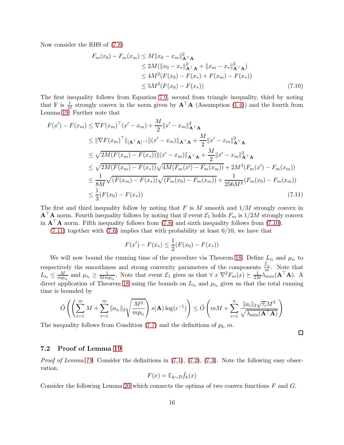Now consider the RHS of [\(7.8\)](#page-15-4)

<span id="page-16-0"></span>
$$
F_m(x_0) - F_m(x_m) \le M \|x_0 - x_m\|_{\mathbf{A}^\top \mathbf{A}}^2
$$
  
\n
$$
\le 2M (\|x_0 - x_*\|_{\mathbf{A}^\top \mathbf{A}}^2 + \|x_m - x_*\|_{\mathbf{A}^\top \mathbf{A}}^2)
$$
  
\n
$$
\le 4M^2 (F(x_0) - F(x_*) + F(x_m) - F(x_*))
$$
  
\n
$$
\le 5M^2 (F(x_0) - F(x_*))
$$
\n(7.10)

The first inequality follows from Equation [7.9,](#page-15-5) second from triangle inequality, third by noting that F is  $\frac{1}{M}$  strongly convex in the norm given by  $A^{\top}A$  (Assumption [\(1.4\)](#page-3-4)) and the fourth from Lemma [19.](#page-15-2) Further note that

$$
F(x') - F(x_m) \le \nabla F(x_m)^\top (x' - x_m) + \frac{M}{2} \|x' - x_m\|_{\mathbf{A}^\top \mathbf{A}}^2
$$
  
\n
$$
\le \|\nabla F(x_m)^\top\|_{[\mathbf{A}^\top \mathbf{A}]^{-1}} \|(x' - x_m)\|_{\mathbf{A}^\top \mathbf{A}} + \frac{M}{2} \|x' - x_m\|_{\mathbf{A}^\top \mathbf{A}}^2
$$
  
\n
$$
\le \sqrt{2M(F(x_m) - F(x_*))} \|(x' - x_m)\|_{\mathbf{A}^\top \mathbf{A}} + \frac{M}{2} \|x' - x_m\|_{\mathbf{A}^\top \mathbf{A}}^2
$$
  
\n
$$
\le \sqrt{2M(F(x_m) - F(x_*))} \sqrt{4M(F_m(x') - F_m(x_m))} + 2M^2(F_m(x') - F_m(x_m))
$$
  
\n
$$
\le \frac{1}{8M} \sqrt{(F(x_m) - F(x_*))} \sqrt{(F_m(x_0) - F_m(x_m))} + \frac{1}{256M^2}(F_m(x_0) - F_m(x_m))
$$
  
\n
$$
\le \frac{1}{3}(F(x_0) - F(x_*))
$$
\n(7.11)

The first and third inequality follow by noting that  $F$  is M smooth and  $1/M$  strongly convex in  $\mathbf{A}$ <sup>†</sup> A norm. Fourth inequality follows by noting that if event  $\mathcal{E}_1$  holds  $F_m$  is  $1/2M$  strongly convex in  $A^{\top}A$  norm. Fifth inequality follows from [\(7.8\)](#page-15-4) and sixth inequality follows from [\(7.10\)](#page-16-0).

 $(7.11)$  together with  $(7.6)$  implies that with probability at least  $6/10$ , we have that

$$
F(x') - F(x_*) \le \frac{1}{2}(F(x_0) - F(x_*))
$$

We will now bound the running time of the procedure via Theorem [18.](#page-14-0) Define  $L_{i_t}$  and  $\mu_{i_t}$  to respectively the smoothness and strong convexity parameters of the components  $\frac{\tilde{f}_{it}}{m}$ . Note that  $L_{i_t} \leq \frac{M}{mp}$  $\frac{M}{m p_{i_t}}$  and  $\mu_{i_t} \geq \frac{1}{Mm}$  $\frac{1}{Mmp_{i_t}}$ . Note that event  $\mathcal{E}_1$  gives us that  $\forall x \nabla^2 F_m(x) \succeq \frac{1}{2M} \lambda_{min}^m (\mathbf{A}^\top \mathbf{A})$ . A direct application of Theorem [18](#page-14-0) using the bounds on  $L_{i_t}$  and  $\mu_{i_t}$  gives us that the total running time is bounded by

$$
\tilde{O}\left(\left(\sum_{t=1}^m M + \sum_{t=1}^m \|a_{i_t}\|_2 \sqrt{\frac{M^2}{mp_{i_t}}}\right) s(\mathbf{A}) \log(\epsilon^{-1})\right) \le \tilde{O}\left(mM + \sum_{i=1}^n \frac{\|a_i\|_2 \sqrt{\tau_i} M^3}{\sqrt{\lambda_{\min}(\mathbf{A}^\top \mathbf{A})}}\right)
$$

<span id="page-16-1"></span> $\Box$ 

The inequality follows from Condition [\(7.7\)](#page-15-3) and the definitions of  $p_k, m$ .

### 7.2 Proof of Lemma [19](#page-15-2)

*Proof of Lemma [19.](#page-15-2)* Consider the definitions in  $(7.1)$ ,  $(7.2)$ ,  $(7.3)$ . Note the following easy observation.

$$
F(x) = \mathbb{E}_{k \sim \mathcal{D}} \tilde{f}_k(x)
$$

Consider the following Lemma [20](#page-17-0) which connects the optima of two convex functions  $F$  and  $G$ .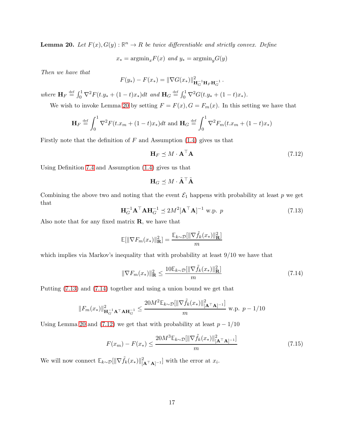<span id="page-17-0"></span>**Lemma 20.** Let  $F(x)$ ,  $G(y)$ :  $\mathbb{R}^n \to R$  be twice differentiable and strictly convex. Define

$$
x_* = \operatorname{argmin}_x F(x) \text{ and } y_* = \operatorname{argmin}_y G(y)
$$

Then we have that

$$
F(y_*) - F(x_*) = ||\nabla G(x_*)||_{\mathbf{H}_G^{-1}\mathbf{H}_F\mathbf{H}_G^{-1}}^2.
$$

where  $\mathbf{H}_F \stackrel{\text{def}}{=} \int_0^1 \nabla^2 F(t \cdot y_* + (1-t) x_*) dt$  and  $\mathbf{H}_G \stackrel{\text{def}}{=} \int_0^1 \nabla^2 G(t \cdot y_* + (1-t) x_*).$ 

We wish to invoke Lemma [20](#page-17-0) by setting  $F = F(x)$ ,  $G = F_m(x)$ . In this setting we have that

$$
\mathbf{H}_{F} \stackrel{\text{def}}{=} \int_{0}^{1} \nabla^{2} F(t \cdot x_{m} + (1-t)x_{*}) dt \text{ and } \mathbf{H}_{G} \stackrel{\text{def}}{=} \int_{0}^{1} \nabla^{2} F_{m}(t \cdot x_{m} + (1-t)x_{*})
$$

Firstly note that the definition of  $F$  and Assumption  $(1.4)$  gives us that

<span id="page-17-3"></span>
$$
\mathbf{H}_F \preceq M \cdot \mathbf{A}^\top \mathbf{A} \tag{7.12}
$$

Using Definition [7.4](#page-15-0) and Assumption [\(1.4\)](#page-3-4) gives us that

$$
\mathbf{H}_G \preceq M \cdot \tilde{\mathbf{A}}^\top \tilde{\mathbf{A}}
$$

Combining the above two and noting that the event  $\mathcal{E}_1$  happens with probability at least p we get that

<span id="page-17-1"></span>
$$
\mathbf{H}_G^{-1} \mathbf{A}^\top \mathbf{A} \mathbf{H}_G^{-1} \preceq 2M^2 [\mathbf{A}^\top \mathbf{A}]^{-1} \text{ w.p. } p \tag{7.13}
$$

Also note that for any fixed matrix  $\bf{R}$ , we have that

$$
\mathbb{E}[\|\nabla F_m(x_*)\|_{\mathbf{R}}^2] = \frac{\mathbb{E}_{k \sim \mathcal{D}}[\|\nabla \tilde{f}_k(x_*)\|_{\mathbf{R}}^2]}{m}
$$

which implies via Markov's inequality that with probability at least 9/10 we have that

<span id="page-17-2"></span>
$$
\|\nabla F_m(x_*)\|_{\mathbf{R}}^2 \le \frac{10\mathbb{E}_{k\sim\mathcal{D}}[\|\nabla \tilde{f}_k(x_*)\|_{\mathbf{R}}^2]}{m} \tag{7.14}
$$

Putting [\(7.13\)](#page-17-1) and [\(7.14\)](#page-17-2) together and using a union bound we get that

$$
||F_m(x_*)||^2_{\mathbf{H}_G^{-1}\mathbf{A}^\top \mathbf{A} \mathbf{H}_G^{-1}} \le \frac{20M^2 \mathbb{E}_{k \sim \mathcal{D}}[\|\nabla \tilde{f}_k(x_*)||^2_{[\mathbf{A}^\top \mathbf{A}]^{-1}}]}{m} \text{ w.p. } p - 1/10
$$

Using Lemma [20](#page-17-0) and [\(7.12\)](#page-17-3) we get that with probability at least  $p - 1/10$ 

<span id="page-17-4"></span>
$$
F(x_m) - F(x_*) \le \frac{20M^3 \mathbb{E}_{k \sim \mathcal{D}}[\|\nabla \tilde{f}_k(x_*)\|_{[\mathbf{A}^\top \mathbf{A}]^{-1}}^2]}{m} \tag{7.15}
$$

We will now connect  $\mathbb{E}_{k\sim\mathcal{D}}[\|\nabla \tilde{f}_k(x_*)\|_{\mathbf{A}^\top\mathbf{A}\mathbf{]}^{-1}]$  with the error at  $x_i$ .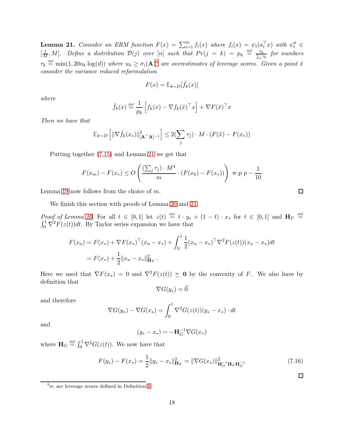<span id="page-18-1"></span>**Lemma 21.** Consider an ERM function  $F(x) = \sum_{i=1}^{m} f_i(x)$  where  $f_i(x) = \psi_i(a_i^{\top}x)$  with  $\psi_i'' \in$  $\left[\frac{1}{M},M\right]$ . Define a distribution  $\mathcal{D}(j)$  over  $[n]$  such that  $Pr(j = k) = p_k \stackrel{\text{def}}{=} \frac{\tau_k}{\sum \tau_k}$  for numbers  $\tau_k \stackrel{\text{def}}{=} \min(1, 20u_k \log(d))$  where  $u_k \ge \sigma_i(\mathbf{A})^6$  $u_k \ge \sigma_i(\mathbf{A})^6$  are overestimates of leverage scores. Given a point  $\tilde{x}$ consider the variance reduced reformulation

$$
F(x) = \mathbb{E}_{k \sim D}[\tilde{f}_k(x)]
$$

where

$$
\tilde{f}_k(x) \stackrel{\text{def}}{=} \frac{1}{p_k} \left[ f_k(x) - \nabla f_k(\tilde{x})^\top x \right] + \nabla F(\tilde{x})^\top x
$$

Then we have that

$$
\mathbb{E}_{k \sim D} \left[ \|\nabla \tilde{f}_k(x_*)\|_{\mathbf{[A^{\top}A]^{-1}}}^2 \right] \leq 2(\sum_j \tau_j) \cdot M \cdot (F(\tilde{x}) - F(x_*))
$$

Putting together [\(7.15\)](#page-17-4) and Lemma [21](#page-18-1) we get that

$$
F(x_m) - F(x_*) \le O\left(\frac{(\sum_j \tau_j) \cdot M^4}{m} \cdot (F(x_0) - F(x_*))\right) \text{ w.p } p - \frac{1}{10}
$$

Lemma [19](#page-15-2) now follows from the choice of m.

We finish this section with proofs of Lemma [20](#page-17-0) and [21](#page-18-1)

Proof of Lemma [20.](#page-17-0) For all  $t \in [0,1]$  let  $z(t) \stackrel{\text{def}}{=} t \cdot y_* + (1-t) \cdot x_*$  for  $t \in [0,1]$  and  $\mathbf{H}_F \stackrel{\text{def}}{=}$   $\int_{0}^{1} \nabla^2 F(z(t)) dt$ . By Taylor series expansion we have that  $\int_0^1 \nabla^2 F(z(t)) dt$ . By Taylor series expansion we have that

$$
F(x_n) = F(x_*) + \nabla F(x_*)^\top (x_n - x_*) + \int_0^1 \frac{1}{2} (x_n - x_*)^\top \nabla^2 F(z(t)) (x_n - x_*) dt
$$
  
=  $F(x_*) + \frac{1}{2} ||x_n - x_*||_{\mathbf{H}_F}^2$ .

Here we used that  $\nabla F(x_*) = 0$  and  $\nabla^2 F(z(t)) \succeq 0$  by the convexity of F. We also have by definition that

$$
\nabla G(y_*) = \vec{0}
$$

and therefore

$$
\nabla G(y_*) - \nabla G(x_*) = \int_0^1 \nabla^2 G(z(t))(y_* - x_*) \cdot dt
$$

and

$$
(y_* - x_*) = -\mathbf{H}_G^{-1} \nabla G(x_*)
$$

where  $\mathbf{H}_G \stackrel{\text{def}}{=} \int_0^1 \nabla^2 G(z(t))$ . We now have that

$$
F(y_*) - F(x_*) = \frac{1}{2} \|y_* - x_*\|_{\mathbf{H}_F}^2 = \|\nabla G(x_*)\|_{\mathbf{H}_G^{-1}\mathbf{H}_F\mathbf{H}_G^{-1}}^2
$$
(7.16)

 $\Box$ 

 $\Box$ 

<span id="page-18-0"></span> ${}^6\sigma_i$  are leverage scores defined in Definition [8](#page-5-3)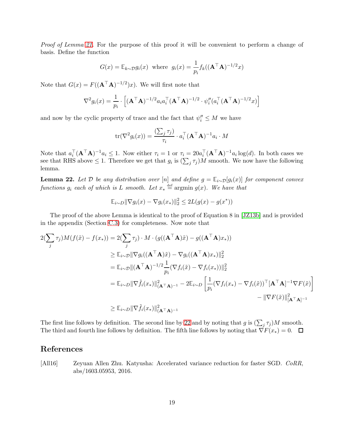Proof of Lemma [21.](#page-18-1) For the purpose of this proof it will be convenient to perform a change of basis. Define the function

$$
G(x) = \mathbb{E}_{k \sim \mathcal{D}} g_i(x) \text{ where } g_i(x) = \frac{1}{p_i} f_k((\mathbf{A}^\top \mathbf{A})^{-1/2} x)
$$

Note that  $G(x) = F((\mathbf{A}^\top \mathbf{A})^{-1/2})x$ . We will first note that

$$
\nabla^2 g_i(x) = \frac{1}{p_i} \cdot \left[ (\mathbf{A}^\top \mathbf{A})^{-1/2} a_i a_i^\top (\mathbf{A}^\top \mathbf{A})^{-1/2} \cdot \psi_i'' (a_i^\top (\mathbf{A}^\top \mathbf{A})^{-1/2} x) \right]
$$

and now by the cyclic property of trace and the fact that  $\psi''_i \leq M$  we have

$$
\text{tr}(\nabla^2 g_i(x)) = \frac{(\sum_j \tau_j)}{\tau_i} \cdot a_i^{\top} (\mathbf{A}^{\top} \mathbf{A})^{-1} a_i \cdot M
$$

Note that  $a_i^{\top} (\mathbf{A}^{\top} \mathbf{A})^{-1} a_i \leq 1$ . Now either  $\tau_i = 1$  or  $\tau_i = 20 a_i^{\top} (\mathbf{A}^{\top} \mathbf{A})^{-1} a_i \log(d)$ . In both cases we see that RHS above  $\leq 1$ . Therefore we get that  $g_i$  is  $(\sum_j \tau_j)M$  smooth. We now have the following lemma.

<span id="page-19-1"></span>**Lemma 22.** Let D be any distribution over [n] and define  $g = \mathbb{E}_{i \sim \mathcal{D}}[g_i(x)]$  for component convex functions  $g_i$  each of which is L smooth. Let  $x_* \stackrel{\text{def}}{=} \argmin g(x)$ . We have that

$$
\mathbb{E}_{i\sim D} \|\nabla g_i(x) - \nabla g_i(x_*)\|_2^2 \le 2L(g(x) - g(x^*))
$$

The proof of the above Lemma is identical to the proof of Equation 8 in [\[JZ13b\]](#page-20-9) and is provided in the appendix (Section [C.3\)](#page-25-0) for completeness. Now note that

$$
2(\sum_{j} \tau_{j})M(f(\tilde{x}) - f(x_{*})) = 2(\sum_{j} \tau_{j}) \cdot M \cdot (g((\mathbf{A}^{\top}\mathbf{A})\tilde{x}) - g((\mathbf{A}^{\top}\mathbf{A})x_{*}))
$$
  
\n
$$
\geq \mathbb{E}_{i \sim \mathcal{D}} \|\nabla g_{i}((\mathbf{A}^{\top}\mathbf{A})\tilde{x}) - \nabla g_{i}((\mathbf{A}^{\top}\mathbf{A})x_{*})\|_{2}^{2}
$$
  
\n
$$
= \mathbb{E}_{i \sim \mathcal{D}} \|( \mathbf{A}^{\top}\mathbf{A})^{-1/2} \frac{1}{p_{i}} (\nabla f_{i}(\tilde{x}) - \nabla f_{i}(x_{*})) \|_{2}^{2}
$$
  
\n
$$
= \mathbb{E}_{i \sim \mathcal{D}} \|\nabla \tilde{f}_{i}(x_{*})\|_{(\mathbf{A}^{\top}\mathbf{A})^{-1}}^{2} - 2\mathbb{E}_{i \sim \mathcal{D}} \left[ \frac{1}{p_{i}} (\nabla f_{i}(x_{*}) - \nabla f_{i}(\tilde{x}))^{\top} [\mathbf{A}^{\top}\mathbf{A}]^{-1} \nabla F(\tilde{x}) \right]
$$
  
\n
$$
- \|\nabla F(\tilde{x})\|_{[\mathbf{A}^{\top}\mathbf{A}]^{-1}}^{2}
$$
  
\n
$$
\geq \mathbb{E}_{i \sim \mathcal{D}} \|\nabla \tilde{f}_{i}(x_{*})\|_{(\mathbf{A}^{\top}\mathbf{A})^{-1}}^{2}
$$

The first line follows by definition. The second line by [22](#page-19-1) and by noting that g is  $(\sum_j \tau_j)M$  smooth. The third and fourth line follows by definition. The fifth line follows by noting that  $\nabla F(x_*) = 0$ .  $\Box$ 

## References

<span id="page-19-0"></span>[All16] Zeyuan Allen Zhu. Katyusha: Accelerated variance reduction for faster SGD. CoRR, abs/1603.05953, 2016.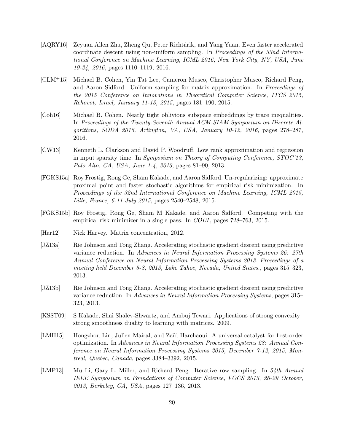- <span id="page-20-5"></span>[AQRY16] Zeyuan Allen Zhu, Zheng Qu, Peter Richt´arik, and Yang Yuan. Even faster accelerated coordinate descent using non-uniform sampling. In Proceedings of the 33nd International Conference on Machine Learning, ICML 2016, New York City, NY, USA, June 19-24, 2016, pages 1110–1119, 2016.
- <span id="page-20-2"></span>[CLM+15] Michael B. Cohen, Yin Tat Lee, Cameron Musco, Christopher Musco, Richard Peng, and Aaron Sidford. Uniform sampling for matrix approximation. In Proceedings of the 2015 Conference on Innovations in Theoretical Computer Science, ITCS 2015, Rehovot, Israel, January 11-13, 2015, pages 181–190, 2015.
- <span id="page-20-3"></span>[Coh16] Michael B. Cohen. Nearly tight oblivious subspace embeddings by trace inequalities. In Proceedings of the Twenty-Seventh Annual ACM-SIAM Symposium on Discrete Algorithms, SODA 2016, Arlington, VA, USA, January 10-12, 2016, pages 278–287, 2016.
- <span id="page-20-0"></span>[CW13] Kenneth L. Clarkson and David P. Woodruff. Low rank approximation and regression in input sparsity time. In Symposium on Theory of Computing Conference, STOC'13, Palo Alto, CA, USA, June 1-4, 2013, pages 81–90, 2013.
- <span id="page-20-6"></span>[FGKS15a] Roy Frostig, Rong Ge, Sham Kakade, and Aaron Sidford. Un-regularizing: approximate proximal point and faster stochastic algorithms for empirical risk minimization. In Proceedings of the 32nd International Conference on Machine Learning, ICML 2015, Lille, France, 6-11 July 2015, pages 2540–2548, 2015.
- <span id="page-20-8"></span>[FGKS15b] Roy Frostig, Rong Ge, Sham M Kakade, and Aaron Sidford. Competing with the empirical risk minimizer in a single pass. In COLT, pages 728–763, 2015.
- <span id="page-20-11"></span>[Har12] Nick Harvey. Matrix concentration, 2012.
- <span id="page-20-4"></span>[JZ13a] Rie Johnson and Tong Zhang. Accelerating stochastic gradient descent using predictive variance reduction. In Advances in Neural Information Processing Systems 26: 27th Annual Conference on Neural Information Processing Systems 2013. Proceedings of a meeting held December 5-8, 2013, Lake Tahoe, Nevada, United States., pages 315–323, 2013.
- <span id="page-20-9"></span>[JZ13b] Rie Johnson and Tong Zhang. Accelerating stochastic gradient descent using predictive variance reduction. In Advances in Neural Information Processing Systems, pages 315– 323, 2013.
- <span id="page-20-10"></span>[KSST09] S Kakade, Shai Shalev-Shwartz, and Ambuj Tewari. Applications of strong convexity– strong smoothness duality to learning with matrices. 2009.
- <span id="page-20-7"></span>[LMH15] Hongzhou Lin, Julien Mairal, and Za¨ıd Harchaoui. A universal catalyst for first-order optimization. In Advances in Neural Information Processing Systems 28: Annual Conference on Neural Information Processing Systems 2015, December 7-12, 2015, Montreal, Quebec, Canada, pages 3384–3392, 2015.
- <span id="page-20-1"></span>[LMP13] Mu Li, Gary L. Miller, and Richard Peng. Iterative row sampling. In 54th Annual IEEE Symposium on Foundations of Computer Science, FOCS 2013, 26-29 October, 2013, Berkeley, CA, USA, pages 127–136, 2013.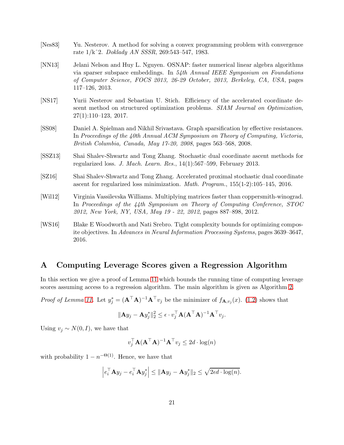- <span id="page-21-2"></span>[Nes83] Yu. Nesterov. A method for solving a convex programming problem with convergence rate 1/kˆ2. Doklady AN SSSR, 269:543–547, 1983.
- <span id="page-21-1"></span>[NN13] Jelani Nelson and Huy L. Nguyen. OSNAP: faster numerical linear algebra algorithms via sparser subspace embeddings. In 54th Annual IEEE Symposium on Foundations of Computer Science, FOCS 2013, 26-29 October, 2013, Berkeley, CA, USA, pages 117–126, 2013.
- <span id="page-21-5"></span>[NS17] Yurii Nesterov and Sebastian U. Stich. Efficiency of the accelerated coordinate descent method on structured optimization problems. SIAM Journal on Optimization, 27(1):110–123, 2017.
- <span id="page-21-7"></span>[SS08] Daniel A. Spielman and Nikhil Srivastava. Graph sparsification by effective resistances. In Proceedings of the 40th Annual ACM Symposium on Theory of Computing, Victoria, British Columbia, Canada, May 17-20, 2008, pages 563–568, 2008.
- <span id="page-21-3"></span>[SSZ13] Shai Shalev-Shwartz and Tong Zhang. Stochastic dual coordinate ascent methods for regularized loss. J. Mach. Learn. Res., 14(1):567–599, February 2013.
- <span id="page-21-4"></span>[SZ16] Shai Shalev-Shwartz and Tong Zhang. Accelerated proximal stochastic dual coordinate ascent for regularized loss minimization. Math. Program., 155(1-2):105–145, 2016.
- <span id="page-21-0"></span>[Wil12] Virginia Vassilevska Williams. Multiplying matrices faster than coppersmith-winograd. In Proceedings of the 44th Symposium on Theory of Computing Conference, STOC 2012, New York, NY, USA, May 19 - 22, 2012, pages 887–898, 2012.
- <span id="page-21-6"></span>[WS16] Blake E Woodworth and Nati Srebro. Tight complexity bounds for optimizing composite objectives. In Advances in Neural Information Processing Systems, pages 3639–3647, 2016.

## <span id="page-21-8"></span>A Computing Leverage Scores given a Regression Algorithm

In this section we give a proof of Lemma [11](#page-7-1) which bounds the running time of computing leverage scores assuming access to a regression algorithm. The main algorithm is given as Algorithm [2.](#page-8-0)

*Proof of Lemma [11.](#page-7-1)* Let  $y_j^* = (\mathbf{A}^\top \mathbf{A})^{-1} \mathbf{A}^\top v_j$  be the minimizer of  $f_{\mathbf{A},v_j}(x)$ . [\(1.2\)](#page-1-3) shows that

$$
\|\mathbf{A}y_j - \mathbf{A}y_j^*\|_2^2 \leq \epsilon \cdot v_j^{\top} \mathbf{A} (\mathbf{A}^{\top} \mathbf{A})^{-1} \mathbf{A}^{\top} v_j.
$$

Using  $v_i \sim N(0, I)$ , we have that

$$
v_j^\top \mathbf{A} (\mathbf{A}^\top \mathbf{A})^{-1} \mathbf{A}^\top v_j \le 2d \cdot \log(n)
$$

with probability  $1 - n^{-\Theta(1)}$ . Hence, we have that

$$
\left| e_i^{\top} \mathbf{A} y_j - e_i^{\top} \mathbf{A} y_j^* \right| \leq \|\mathbf{A} y_j - \mathbf{A} y_j^*\|_2 \leq \sqrt{2\epsilon d \cdot \log(n)}.
$$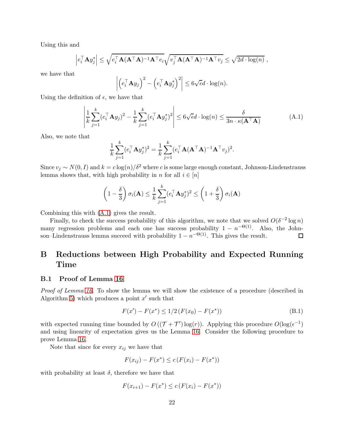Using this and

$$
\left| e_i^{\top} A y_j^* \right| \leq \sqrt{e_i^{\top} A (A^{\top} A)^{-1} A^{\top} e_i} \sqrt{v_j^{\top} A (A^{\top} A)^{-1} A^{\top} v_j} \leq \sqrt{2d \cdot \log(n)},
$$

we have that

$$
\left| \left( e_i^{\top} \mathbf{A} y_j \right)^2 - \left( e_i^{\top} \mathbf{A} y_j^* \right)^2 \right| \le 6\sqrt{\epsilon}d \cdot \log(n).
$$

Using the definition of  $\epsilon$ , we have that

<span id="page-22-1"></span>
$$
\left| \frac{1}{k} \sum_{j=1}^{k} (e_i^{\top} \mathbf{A} y_j)^2 - \frac{1}{k} \sum_{j=1}^{k} (e_i^{\top} \mathbf{A} y_j^*)^2 \right| \le 6\sqrt{\epsilon}d \cdot \log(n) \le \frac{\delta}{3n \cdot \kappa(\mathbf{A}^{\top} \mathbf{A})}
$$
(A.1)

Also, we note that

$$
\frac{1}{k}\sum_{j=1}^k (e_i^\top \mathbf{A} y_j^*)^2 = \frac{1}{k}\sum_{j=1}^k (e_i^\top \mathbf{A} (\mathbf{A}^\top \mathbf{A})^{-1} \mathbf{A}^\top v_j)^2.
$$

Since  $v_i \sim N(0, I)$  and  $k = c \log(n)/\delta^2$  where c is some large enough constant, Johnson-Lindenstrauss lemma shows that, with high probability in n for all  $i \in [n]$ 

$$
\left(1-\frac{\delta}{3}\right)\sigma_i(\mathbf{A}) \leq \frac{1}{k}\sum_{j=1}^k (e_i^\top \mathbf{A} y_j^*)^2 \leq \left(1+\frac{\delta}{3}\right)\sigma_i(\mathbf{A})
$$

Combining this with [\(A.1\)](#page-22-1) gives the result.

Finally, to check the success probability of this algorithm, we note that we solved  $O(\delta^{-2} \log n)$ many regression problems and each one has success probability  $1 - n^{-\Theta(1)}$ . Also, the Johnson–Lindenstrauss lemma succeed with probability  $1 - n^{-\Theta(1)}$ . This gives the result.  $\Box$ 

## <span id="page-22-0"></span>B Reductions between High Probability and Expected Running Time

### B.1 Proof of Lemma [16](#page-12-0)

Proof of Lemma [16.](#page-12-0) To show the lemma we will show the existence of a procedure (described in Algorithm [5\)](#page-23-1) which produces a point  $x'$  such that

$$
F(x') - F(x^*) \le 1/2 \left( F(x_0) - F(x^*) \right) \tag{B.1}
$$

with expected running time bounded by  $O((\mathcal{T} + \mathcal{T}') \log(r))$ . Applying this procedure  $O(\log(\epsilon^{-1}))$ and using linearity of expectation gives us the Lemma [16.](#page-12-0) Consider the following procedure to prove Lemma [16.](#page-12-0)

Note that since for every  $x_{ij}$  we have that

$$
F(x_{ij}) - F(x^*) \le c (F(x_i) - F(x^*))
$$

with probability at least  $\delta$ , therefore we have that

$$
F(x_{i+1}) - F(x^*) \le c (F(x_i) - F(x^*))
$$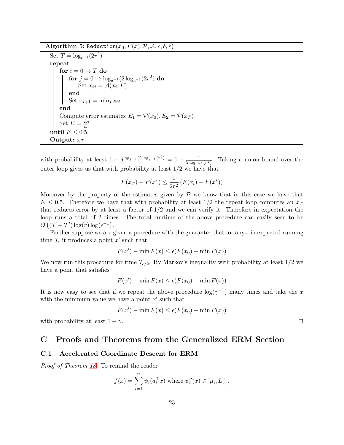<span id="page-23-1"></span>Algorithm 5: Reduction $(x_0, F(x), \mathcal{P}, \mathcal{A}, c, \delta, r)$ 

Set  $T = \log_{c^{-1}}(2r^2)$ repeat for  $i = 0 \rightarrow T$  do for  $j = 0 \rightarrow \log_{\delta^{-1}}(2\log_{c^{-1}}(2r^2))$  do Set  $x_{ij} = A(x_i, F)$ end  $\begin{cases} \textbf{end} \\ \textbf{Set } x_{i+1} = \min_j x_{ij} \end{cases}$ end Compute error estimates  $E_1 = \mathcal{P}(x_0)$ ,  $E_2 = \mathcal{P}(x_T)$ Set  $E = \frac{E_2}{E_1}$  $\frac{E_2}{E_1}$ . until  $E \leq 0.5$ ; Output:  $x_T$ 

with probability at least  $1 - \delta^{\log_{\delta^{-1}}(2 \log_{c^{-1}}(r^2))} = 1 - \frac{1}{2 \log_{c^{-1}}(r^2)}$  $\frac{1}{2 \log_{c^{-1}} (r^2)}$ . Taking a union bound over the outer loop gives us that with probability at least 1/2 we have that

$$
F(x_T) - F(x^*) \le \frac{1}{2r^2} \left( F(x_i) - F(x^*) \right)
$$

Moreover by the property of the estimates given by  $\mathcal P$  we know that in this case we have that  $E \leq 0.5$ . Therefore we have that with probability at least  $1/2$  the repeat loop computes an  $x_T$ that reduces error by at least a factor of  $1/2$  and we can verify it. Therefore in expectation the loop runs a total of 2 times. The total runtime of the above procedure can easily seen to be  $O\left((\mathcal{T} + \mathcal{T}') \log(r) \log(\epsilon^{-1})\right)$ .

Further suppose we are given a procedure with the guarantee that for any  $\epsilon$  in expected running time  $\mathcal{T}_{\epsilon}$  it produces a point  $x'$  such that

$$
F(x') - \min F(x) \le \epsilon (F(x_0) - \min F(x))
$$

We now run this procedure for time  $\mathcal{T}_{\epsilon/2}$ . By Markov's inequality with probability at least  $1/2$  we have a point that satisfies

$$
F(x') - \min F(x) \le \epsilon (F(x_0) - \min F(x))
$$

It is now easy to see that if we repeat the above procedure  $\log(\gamma^{-1})$  many times and take the x with the minimum value we have a point  $x'$  such that

$$
F(x') - \min F(x) \le \epsilon (F(x_0) - \min F(x))
$$

with probability at least  $1 - \gamma$ .

## <span id="page-23-0"></span>C Proofs and Theorems from the Generalized ERM Section

### C.1 Accelerated Coordinate Descent for ERM

Proof of Theorem [18.](#page-14-0) To remind the reader

$$
f(x) = \sum_{i=1}^{n} \psi_i(a_i^{\top} x) \text{ where } \psi_i''(x) \in [\mu_i, L_i].
$$

 $\Box$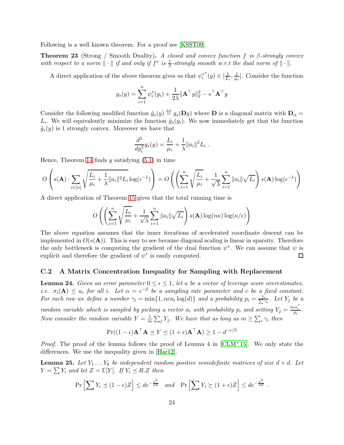Following is a well known theorem. For a proof see [\[KSST09\]](#page-20-10).

**Theorem 23** (Strong / Smooth Duality). A closed and convex function f is  $\beta$ -strongly convex with respect to a norm  $\|\cdot\|$  if and only if  $f^*$  is  $\frac{1}{\beta}$ -strongly smooth w.r.t the dual norm of  $\|\cdot\|$ .

A direct application of the above theorem gives us that  $\psi_i^{*''}$  $i^{''}(y) \in [\frac{1}{L}]$  $\frac{1}{L_i}, \frac{1}{\mu_i}$  $\frac{1}{\mu_i}$ . Consider the function

$$
g_s(y) = \sum_{i=1}^n \psi_i^*(y_i) + \frac{1}{2\lambda} ||\mathbf{A}^\top y||_2^2 - s^\top \mathbf{A}^\top y
$$

Consider the following modified function  $\tilde{g}_s(y) \stackrel{\text{def}}{=} g_s(\mathbf{D}y)$  where  $\mathbf{D}$  is a diagonal matrix with  $\mathbf{D}_{ii} =$  $L_i$ . We will equivalently minimize the function  $\tilde{g}_s(y_i)$ . We now immediately get that the function  $\tilde{g}_s(y)$  is 1 strongly convex. Moreover we have that

$$
\frac{d^2}{dy_i^2}g_s(y) = \frac{L_i}{\mu_i} + \frac{1}{\lambda} ||a_i||^2 L_i.
$$

Hence, Theorem [14](#page-9-2) finds  $y$  satisfying  $(5.1)$  in time

$$
O\left(s(\mathbf{A}) \cdot \sum_{i \in [n]} \sqrt{\frac{L_i}{\mu_i} + \frac{1}{\lambda} ||a_i||^2} L_i \log(\epsilon^{-1})\right) = O\left(\left(\sum_{i=1}^n \sqrt{\frac{L_i}{\mu_i}} + \frac{1}{\sqrt{\lambda}} \sum_{i=1}^n ||a_i|| \sqrt{L_i}\right) s(\mathbf{A}) \log(\epsilon^{-1})\right)
$$

A direct application of Theorem [15](#page-10-0) gives that the total running time is

$$
O\left(\left(\sum_{i=1}^n \sqrt{\frac{L_i}{\mu_i}} + \frac{1}{\sqrt{\lambda}} \sum_{i=1}^n \|a_i\| \sqrt{L_i}\right) s(\mathbf{A}) \log(n\kappa) \log(\kappa/\epsilon)\right)
$$

The above equation assumes that the inner iterations of accelerated coordinate descent can be implemented in  $O(s(\mathbf{A}))$ . This is easy to see because diagonal scaling is linear in sparsity. Therefore the only bottleneck is computing the gradient of the dual function  $\psi^*$ . We can assume that  $\psi$  is explicit and therefore the gradient of  $\psi^*$  is easily computed. □

### <span id="page-24-1"></span>C.2 A Matrix Concentration Inequality for Sampling with Replacement

<span id="page-24-0"></span>**Lemma 24.** Given an error parameter  $0 \le \epsilon \le 1$ , let u be a vector of leverage score overestimates, i.e.  $\sigma_i(\mathbf{A}) \leq u_i$  for all i. Let  $\alpha = \epsilon^{-2}$  be a sampling rate parameter and c be a fixed constant. For each row we define a number  $\gamma_i = \min\{1, \alpha c u_i \log(d)\}\$  and a probability  $p_i = \frac{\gamma_i}{\sum_{i=1}^{n_i}}$  $\frac{i}{\gamma_i}$ . Let  $Y_j$  be a

random variable which is sampled by picking a vector  $a_i$  with probability  $p_i$  and setting  $Y_j = \frac{a_i a_i^{\top}}{p_i}$ . Now consider the random variable  $Y = \frac{1}{m}$  $\frac{1}{m} \sum_j Y_j$ . We have that as long as  $m \ge \sum_i \gamma_i$  then

$$
Pr((1 - \epsilon)\mathbf{A}^\top \mathbf{A} \preceq Y \preceq (1 + \epsilon)\mathbf{A}^\top \mathbf{A}) \ge 1 - d^{-c/3}
$$

*Proof.* The proof of the lemma follows the proof of Lemma 4 in  $\text{[CLM}^{+15]}$ . We only state the differences. We use the inequality given in [\[Har12\]](#page-20-11).

**Lemma 25.** Let  $Y_1 \ldots Y_k$  be independent random positive semidefinite matrices of size  $d \times d$ . Let  $Y = \sum Y_i$  and let  $Z = \mathbb{E}[Y]$ . If  $Y_i \preceq R.Z$  then

$$
\Pr\left[\sum Y_i \preceq (1-\epsilon)Z\right] \leq de^{-\frac{\epsilon^2}{2R}} \quad and \quad \Pr\left[\sum Y_i \succeq (1+\epsilon)Z\right] \leq de^{-\frac{\epsilon^2}{3R}}.
$$